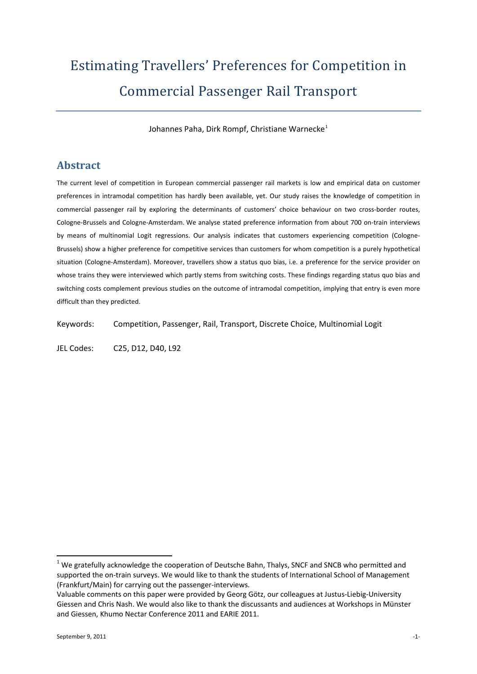# Estimating Travellers' Preferences for Competition in Commercial Passenger Rail Transport

Johannes Paha, Dirk Rompf, Christiane Warnecke<sup>[1](#page-0-0)</sup>

# **Abstract**

The current level of competition in European commercial passenger rail markets is low and empirical data on customer preferences in intramodal competition has hardly been available, yet. Our study raises the knowledge of competition in commercial passenger rail by exploring the determinants of customers' choice behaviour on two cross-border routes, Cologne-Brussels and Cologne-Amsterdam. We analyse stated preference information from about 700 on-train interviews by means of multinomial Logit regressions. Our analysis indicates that customers experiencing competition (Cologne-Brussels) show a higher preference for competitive services than customers for whom competition is a purely hypothetical situation (Cologne-Amsterdam). Moreover, travellers show a status quo bias, i.e. a preference for the service provider on whose trains they were interviewed which partly stems from switching costs. These findings regarding status quo bias and switching costs complement previous studies on the outcome of intramodal competition, implying that entry is even more difficult than they predicted.

Keywords: Competition, Passenger, Rail, Transport, Discrete Choice, Multinomial Logit

JEL Codes: C25, D12, D40, L92

<span id="page-0-0"></span> $1$  We gratefully acknowledge the cooperation of Deutsche Bahn, Thalys, SNCF and SNCB who permitted and supported the on-train surveys. We would like to thank the students of International School of Management (Frankfurt/Main) for carrying out the passenger-interviews.

Valuable comments on this paper were provided by Georg Götz, our colleagues at Justus-Liebig-University Giessen and Chris Nash. We would also like to thank the discussants and audiences at Workshops in Münster and Giessen, Khumo Nectar Conference 2011 and EARIE 2011.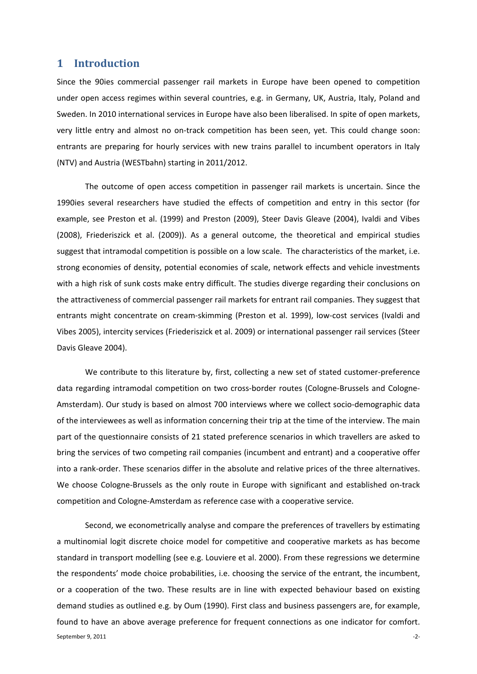#### **1 Introduction**

Since the 90ies commercial passenger rail markets in Europe have been opened to competition under open access regimes within several countries, e.g. in Germany, UK, Austria, Italy, Poland and Sweden. In 2010 international services in Europe have also been liberalised. In spite of open markets, very little entry and almost no on-track competition has been seen, yet. This could change soon: entrants are preparing for hourly services with new trains parallel to incumbent operators in Italy (NTV) and Austria (WESTbahn) starting in 2011/2012.

The outcome of open access competition in passenger rail markets is uncertain. Since the 1990ies several researchers have studied the effects of competition and entry in this sector (for example, see Preston et al. (1999) and Preston (2009), Steer Davis Gleave (2004), Ivaldi and Vibes (2008), Friederiszick et al. (2009)). As a general outcome, the theoretical and empirical studies suggest that intramodal competition is possible on a low scale. The characteristics of the market, i.e. strong economies of density, potential economies of scale, network effects and vehicle investments with a high risk of sunk costs make entry difficult. The studies diverge regarding their conclusions on the attractiveness of commercial passenger rail markets for entrant rail companies. They suggest that entrants might concentrate on cream-skimming (Preston et al. 1999), low-cost services (Ivaldi and Vibes 2005), intercity services (Friederiszick et al. 2009) or international passenger rail services (Steer Davis Gleave 2004).

We contribute to this literature by, first, collecting a new set of stated customer-preference data regarding intramodal competition on two cross-border routes (Cologne-Brussels and Cologne-Amsterdam). Our study is based on almost 700 interviews where we collect socio-demographic data of the interviewees as well as information concerning their trip at the time of the interview. The main part of the questionnaire consists of 21 stated preference scenarios in which travellers are asked to bring the services of two competing rail companies (incumbent and entrant) and a cooperative offer into a rank-order. These scenarios differ in the absolute and relative prices of the three alternatives. We choose Cologne-Brussels as the only route in Europe with significant and established on-track competition and Cologne-Amsterdam as reference case with a cooperative service.

September 9, 2011 **Figure 1.0** 2-2-1. The september 9, 2011 **Figure 1.0** 2-2-2. Second, we econometrically analyse and compare the preferences of travellers by estimating a multinomial logit discrete choice model for competitive and cooperative markets as has become standard in transport modelling (see e.g. Louviere et al. 2000). From these regressions we determine the respondents' mode choice probabilities, i.e. choosing the service of the entrant, the incumbent, or a cooperation of the two. These results are in line with expected behaviour based on existing demand studies as outlined e.g. by Oum (1990). First class and business passengers are, for example, found to have an above average preference for frequent connections as one indicator for comfort.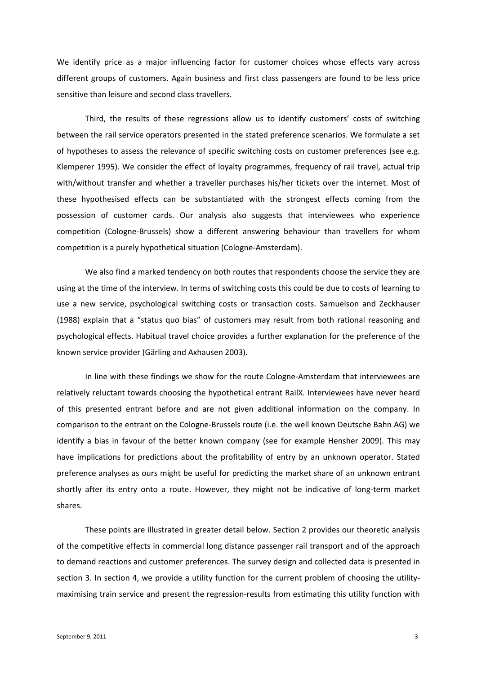We identify price as a major influencing factor for customer choices whose effects vary across different groups of customers. Again business and first class passengers are found to be less price sensitive than leisure and second class travellers.

Third, the results of these regressions allow us to identify customers' costs of switching between the rail service operators presented in the stated preference scenarios. We formulate a set of hypotheses to assess the relevance of specific switching costs on customer preferences (see e.g. Klemperer 1995). We consider the effect of loyalty programmes, frequency of rail travel, actual trip with/without transfer and whether a traveller purchases his/her tickets over the internet. Most of these hypothesised effects can be substantiated with the strongest effects coming from the possession of customer cards. Our analysis also suggests that interviewees who experience competition (Cologne-Brussels) show a different answering behaviour than travellers for whom competition is a purely hypothetical situation (Cologne-Amsterdam).

We also find a marked tendency on both routes that respondents choose the service they are using at the time of the interview. In terms of switching costs this could be due to costs of learning to use a new service, psychological switching costs or transaction costs. Samuelson and Zeckhauser (1988) explain that a "status quo bias" of customers may result from both rational reasoning and psychological effects. Habitual travel choice provides a further explanation for the preference of the known service provider (Gärling and Axhausen 2003).

In line with these findings we show for the route Cologne-Amsterdam that interviewees are relatively reluctant towards choosing the hypothetical entrant RailX. Interviewees have never heard of this presented entrant before and are not given additional information on the company. In comparison to the entrant on the Cologne-Brussels route (i.e. the well known Deutsche Bahn AG) we identify a bias in favour of the better known company (see for example Hensher 2009). This may have implications for predictions about the profitability of entry by an unknown operator. Stated preference analyses as ours might be useful for predicting the market share of an unknown entrant shortly after its entry onto a route. However, they might not be indicative of long-term market shares.

These points are illustrated in greater detail below. Section 2 provides our theoretic analysis of the competitive effects in commercial long distance passenger rail transport and of the approach to demand reactions and customer preferences. The survey design and collected data is presented in section 3. In section [4,](#page-10-0) we provide a utility function for the current problem of choosing the utilitymaximising train service and present the regression-results from estimating this utility function with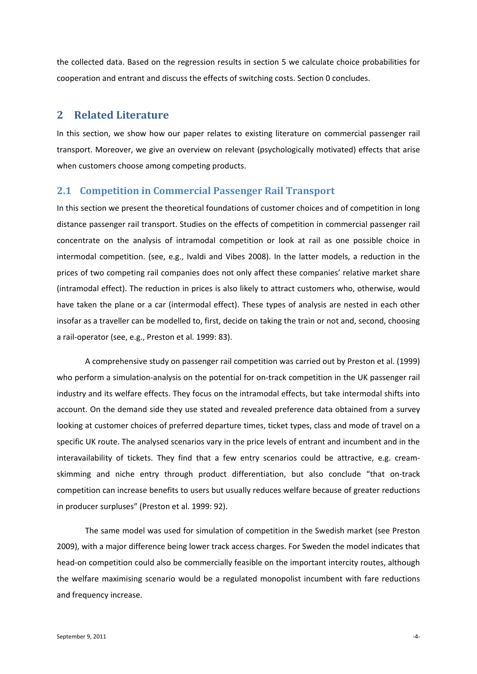the collected data. Based on the regression results in section [5](#page-17-0) we calculate choice probabilities for cooperation and entrant and discuss the effects of switching costs. Sectio[n 0](#page-25-0) concludes.

# **2 Related Literature**

In this section, we show how our paper relates to existing literature on commercial passenger rail transport. Moreover, we give an overview on relevant (psychologically motivated) effects that arise when customers choose among competing products.

#### **2.1 Competition in Commercial Passenger Rail Transport**

In this section we present the theoretical foundations of customer choices and of competition in long distance passenger rail transport. Studies on the effects of competition in commercial passenger rail concentrate on the analysis of intramodal competition or look at rail as one possible choice in intermodal competition. (see, e.g., Ivaldi and Vibes 2008). In the latter models, a reduction in the prices of two competing rail companies does not only affect these companies' relative market share (intramodal effect). The reduction in prices is also likely to attract customers who, otherwise, would have taken the plane or a car (intermodal effect). These types of analysis are nested in each other insofar as a traveller can be modelled to, first, decide on taking the train or not and, second, choosing a rail-operator (see, e.g., Preston et al. 1999: 83).

A comprehensive study on passenger rail competition was carried out by Preston et al. (1999) who perform a simulation-analysis on the potential for on-track competition in the UK passenger rail industry and its welfare effects. They focus on the intramodal effects, but take intermodal shifts into account. On the demand side they use stated and revealed preference data obtained from a survey looking at customer choices of preferred departure times, ticket types, class and mode of travel on a specific UK route. The analysed scenarios vary in the price levels of entrant and incumbent and in the interavailability of tickets. They find that a few entry scenarios could be attractive, e.g. creamskimming and niche entry through product differentiation, but also conclude "that on-track competition can increase benefits to users but usually reduces welfare because of greater reductions in producer surpluses" (Preston et al. 1999: 92).

The same model was used for simulation of competition in the Swedish market (see Preston 2009), with a major difference being lower track access charges. For Sweden the model indicates that head-on competition could also be commercially feasible on the important intercity routes, although the welfare maximising scenario would be a regulated monopolist incumbent with fare reductions and frequency increase.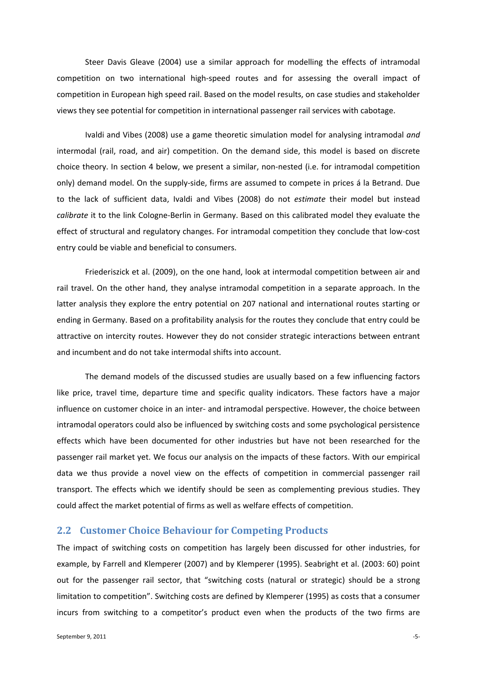Steer Davis Gleave (2004) use a similar approach for modelling the effects of intramodal competition on two international high-speed routes and for assessing the overall impact of competition in European high speed rail. Based on the model results, on case studies and stakeholder views they see potential for competition in international passenger rail services with cabotage.

Ivaldi and Vibes (2008) use a game theoretic simulation model for analysing intramodal *and* intermodal (rail, road, and air) competition. On the demand side, this model is based on discrete choice theory. In section [4](#page-10-0) below, we present a similar, non-nested (i.e. for intramodal competition only) demand model. On the supply-side, firms are assumed to compete in prices á la Betrand. Due to the lack of sufficient data, Ivaldi and Vibes (2008) do not *estimate* their model but instead *calibrate* it to the link Cologne-Berlin in Germany. Based on this calibrated model they evaluate the effect of structural and regulatory changes. For intramodal competition they conclude that low-cost entry could be viable and beneficial to consumers.

Friederiszick et al. (2009), on the one hand, look at intermodal competition between air and rail travel. On the other hand, they analyse intramodal competition in a separate approach. In the latter analysis they explore the entry potential on 207 national and international routes starting or ending in Germany. Based on a profitability analysis for the routes they conclude that entry could be attractive on intercity routes. However they do not consider strategic interactions between entrant and incumbent and do not take intermodal shifts into account.

The demand models of the discussed studies are usually based on a few influencing factors like price, travel time, departure time and specific quality indicators. These factors have a major influence on customer choice in an inter- and intramodal perspective. However, the choice between intramodal operators could also be influenced by switching costs and some psychological persistence effects which have been documented for other industries but have not been researched for the passenger rail market yet. We focus our analysis on the impacts of these factors. With our empirical data we thus provide a novel view on the effects of competition in commercial passenger rail transport. The effects which we identify should be seen as complementing previous studies. They could affect the market potential of firms as well as welfare effects of competition.

#### **2.2 Customer Choice Behaviour for Competing Products**

The impact of switching costs on competition has largely been discussed for other industries, for example, by Farrell and Klemperer (2007) and by Klemperer (1995). Seabright et al. (2003: 60) point out for the passenger rail sector, that "switching costs (natural or strategic) should be a strong limitation to competition". Switching costs are defined by Klemperer (1995) as costs that a consumer incurs from switching to a competitor's product even when the products of the two firms are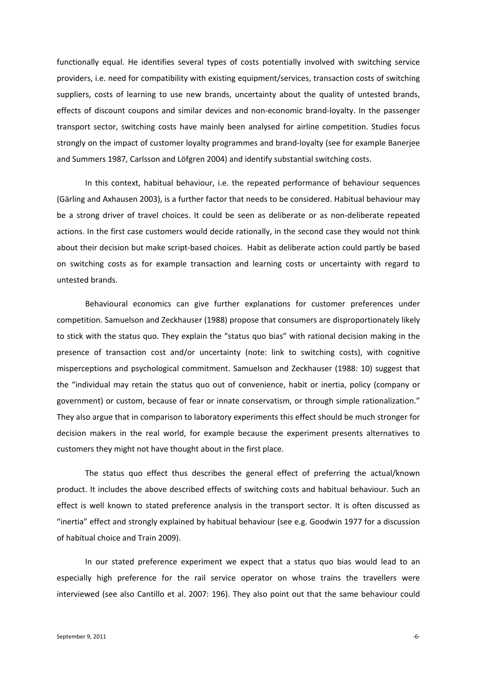functionally equal. He identifies several types of costs potentially involved with switching service providers, i.e. need for compatibility with existing equipment/services, transaction costs of switching suppliers, costs of learning to use new brands, uncertainty about the quality of untested brands, effects of discount coupons and similar devices and non-economic brand-loyalty. In the passenger transport sector, switching costs have mainly been analysed for airline competition. Studies focus strongly on the impact of customer loyalty programmes and brand-loyalty (see for example Banerjee and Summers 1987, Carlsson and Löfgren 2004) and identify substantial switching costs.

In this context, habitual behaviour, i.e. the repeated performance of behaviour sequences (Gärling and Axhausen 2003), is a further factor that needs to be considered. Habitual behaviour may be a strong driver of travel choices. It could be seen as deliberate or as non-deliberate repeated actions. In the first case customers would decide rationally, in the second case they would not think about their decision but make script-based choices. Habit as deliberate action could partly be based on switching costs as for example transaction and learning costs or uncertainty with regard to untested brands.

Behavioural economics can give further explanations for customer preferences under competition. Samuelson and Zeckhauser (1988) propose that consumers are disproportionately likely to stick with the status quo. They explain the "status quo bias" with rational decision making in the presence of transaction cost and/or uncertainty (note: link to switching costs), with cognitive misperceptions and psychological commitment. Samuelson and Zeckhauser (1988: 10) suggest that the "individual may retain the status quo out of convenience, habit or inertia, policy (company or government) or custom, because of fear or innate conservatism, or through simple rationalization." They also argue that in comparison to laboratory experiments this effect should be much stronger for decision makers in the real world, for example because the experiment presents alternatives to customers they might not have thought about in the first place.

The status quo effect thus describes the general effect of preferring the actual/known product. It includes the above described effects of switching costs and habitual behaviour. Such an effect is well known to stated preference analysis in the transport sector. It is often discussed as "inertia" effect and strongly explained by habitual behaviour (see e.g. Goodwin 1977 for a discussion of habitual choice and Train 2009).

In our stated preference experiment we expect that a status quo bias would lead to an especially high preference for the rail service operator on whose trains the travellers were interviewed (see also Cantillo et al. 2007: 196). They also point out that the same behaviour could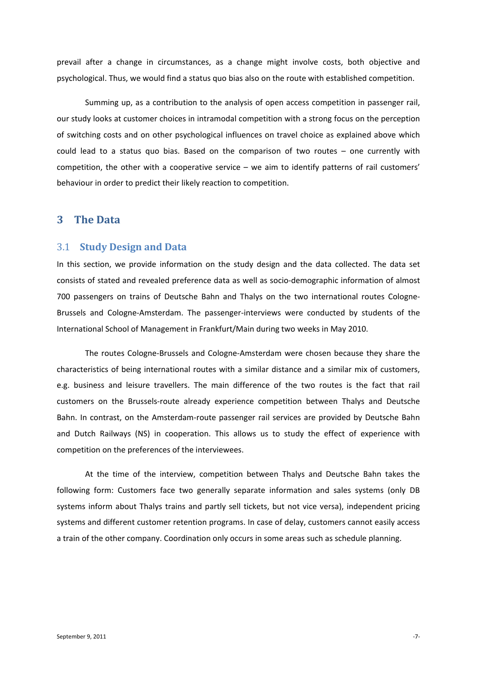prevail after a change in circumstances, as a change might involve costs, both objective and psychological. Thus, we would find a status quo bias also on the route with established competition.

Summing up, as a contribution to the analysis of open access competition in passenger rail, our study looks at customer choices in intramodal competition with a strong focus on the perception of switching costs and on other psychological influences on travel choice as explained above which could lead to a status quo bias. Based on the comparison of two routes – one currently with competition, the other with a cooperative service – we aim to identify patterns of rail customers' behaviour in order to predict their likely reaction to competition.

#### <span id="page-6-0"></span>**3 The Data**

#### 3.1 **Study Design and Data**

In this section, we provide information on the study design and the data collected. The data set consists of stated and revealed preference data as well as socio-demographic information of almost 700 passengers on trains of Deutsche Bahn and Thalys on the two international routes Cologne-Brussels and Cologne-Amsterdam. The passenger-interviews were conducted by students of the International School of Management in Frankfurt/Main during two weeks in May 2010.

The routes Cologne-Brussels and Cologne-Amsterdam were chosen because they share the characteristics of being international routes with a similar distance and a similar mix of customers, e.g. business and leisure travellers. The main difference of the two routes is the fact that rail customers on the Brussels-route already experience competition between Thalys and Deutsche Bahn. In contrast, on the Amsterdam-route passenger rail services are provided by Deutsche Bahn and Dutch Railways (NS) in cooperation. This allows us to study the effect of experience with competition on the preferences of the interviewees.

At the time of the interview, competition between Thalys and Deutsche Bahn takes the following form: Customers face two generally separate information and sales systems (only DB systems inform about Thalys trains and partly sell tickets, but not vice versa), independent pricing systems and different customer retention programs. In case of delay, customers cannot easily access a train of the other company. Coordination only occurs in some areas such as schedule planning.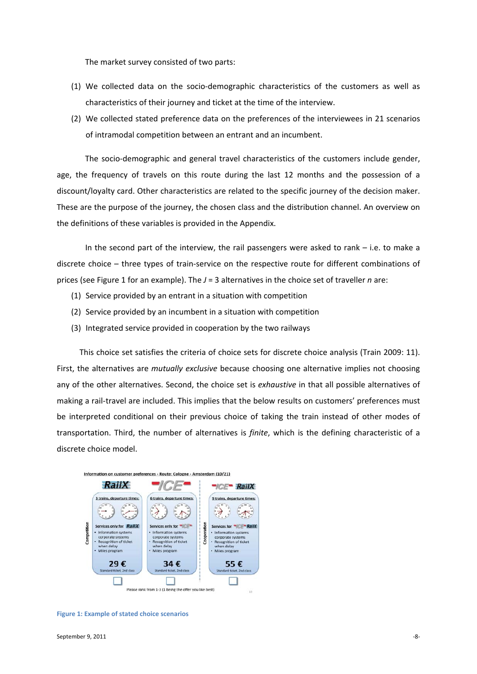The market survey consisted of two parts:

- (1) We collected data on the socio-demographic characteristics of the customers as well as characteristics of their journey and ticket at the time of the interview.
- (2) We collected stated preference data on the preferences of the interviewees in 21 scenarios of intramodal competition between an entrant and an incumbent.

The socio-demographic and general travel characteristics of the customers include gender, age, the frequency of travels on this route during the last 12 months and the possession of a discount/loyalty card. Other characteristics are related to the specific journey of the decision maker. These are the purpose of the journey, the chosen class and the distribution channel. An overview on the definitions of these variables is provided in the Appendix.

In the second part of the interview, the rail passengers were asked to rank – i.e. to make a discrete choice – three types of train-service on the respective route for different combinations of prices (see [Figure 1](#page-7-0) for an example). The *J* = 3 alternatives in the choice set of traveller *n* are:

- (1) Service provided by an entrant in a situation with competition
- (2) Service provided by an incumbent in a situation with competition
- (3) Integrated service provided in cooperation by the two railways

This choice set satisfies the criteria of choice sets for discrete choice analysis (Train 2009: 11). First, the alternatives are *mutually exclusive* because choosing one alternative implies not choosing any of the other alternatives. Second, the choice set is *exhaustive* in that all possible alternatives of making a rail-travel are included. This implies that the below results on customers' preferences must be interpreted conditional on their previous choice of taking the train instead of other modes of transportation. Third, the number of alternatives is *finite*, which is the defining characteristic of a discrete choice model.



<span id="page-7-0"></span>**Figure 1: Example of stated choice scenarios**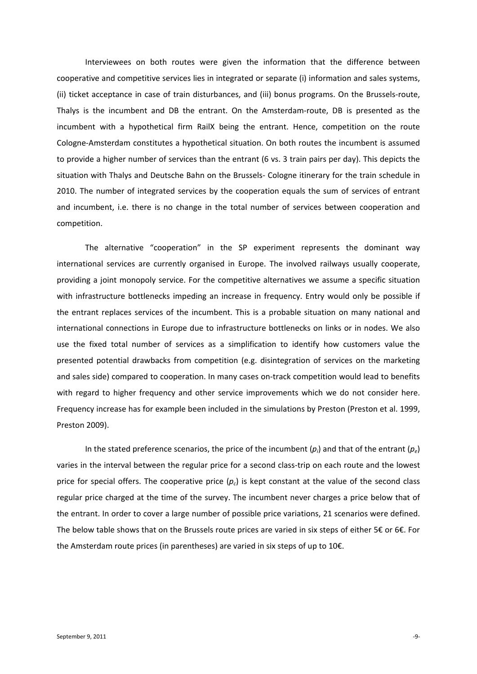Interviewees on both routes were given the information that the difference between cooperative and competitive services lies in integrated or separate (i) information and sales systems, (ii) ticket acceptance in case of train disturbances, and (iii) bonus programs. On the Brussels-route, Thalys is the incumbent and DB the entrant. On the Amsterdam-route, DB is presented as the incumbent with a hypothetical firm RailX being the entrant. Hence, competition on the route Cologne-Amsterdam constitutes a hypothetical situation. On both routes the incumbent is assumed to provide a higher number of services than the entrant (6 vs. 3 train pairs per day). This depicts the situation with Thalys and Deutsche Bahn on the Brussels- Cologne itinerary for the train schedule in 2010. The number of integrated services by the cooperation equals the sum of services of entrant and incumbent, i.e. there is no change in the total number of services between cooperation and competition.

The alternative "cooperation" in the SP experiment represents the dominant way international services are currently organised in Europe. The involved railways usually cooperate, providing a joint monopoly service. For the competitive alternatives we assume a specific situation with infrastructure bottlenecks impeding an increase in frequency. Entry would only be possible if the entrant replaces services of the incumbent. This is a probable situation on many national and international connections in Europe due to infrastructure bottlenecks on links or in nodes. We also use the fixed total number of services as a simplification to identify how customers value the presented potential drawbacks from competition (e.g. disintegration of services on the marketing and sales side) compared to cooperation. In many cases on-track competition would lead to benefits with regard to higher frequency and other service improvements which we do not consider here. Frequency increase has for example been included in the simulations by Preston (Preston et al. 1999, Preston 2009).

In the stated preference scenarios, the price of the incumbent  $(p_i)$  and that of the entrant  $(p_e)$ varies in the interval between the regular price for a second class-trip on each route and the lowest price for special offers. The cooperative price  $(p_c)$  is kept constant at the value of the second class regular price charged at the time of the survey. The incumbent never charges a price below that of the entrant. In order to cover a large number of possible price variations, 21 scenarios were defined. The below table shows that on the Brussels route prices are varied in six steps of either 5€ or 6€. For the Amsterdam route prices (in parentheses) are varied in six steps of up to 10€.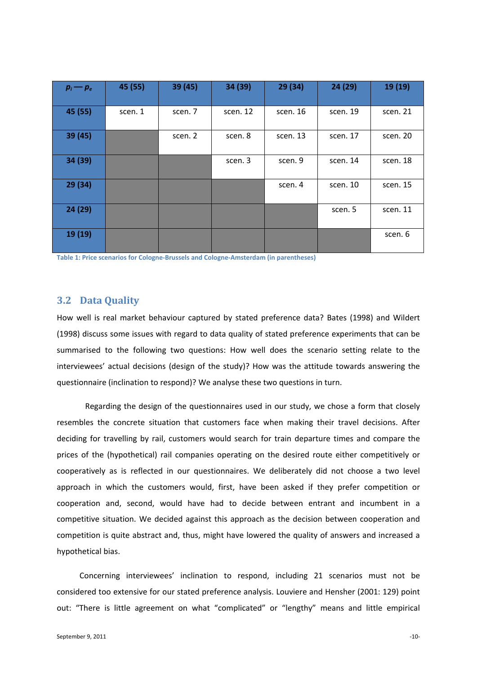| $p_i - p_e$ | 45 (55) | 39 (45) | 34 (39)  | 29 (34)  | 24 (29)  | 19 (19)  |
|-------------|---------|---------|----------|----------|----------|----------|
| 45 (55)     | scen. 1 | scen. 7 | scen. 12 | scen. 16 | scen. 19 | scen. 21 |
| 39 (45)     |         | scen. 2 | scen. 8  | scen. 13 | scen. 17 | scen. 20 |
| 34 (39)     |         |         | scen. 3  | scen. 9  | scen. 14 | scen. 18 |
| 29(34)      |         |         |          | scen. 4  | scen. 10 | scen. 15 |
| 24 (29)     |         |         |          |          | scen. 5  | scen. 11 |
| 19 (19)     |         |         |          |          |          | scen. 6  |

**Table 1: Price scenarios for Cologne-Brussels and Cologne-Amsterdam (in parentheses)**

#### **3.2 Data Quality**

How well is real market behaviour captured by stated preference data? Bates (1998) and Wildert (1998) discuss some issues with regard to data quality of stated preference experiments that can be summarised to the following two questions: How well does the scenario setting relate to the interviewees' actual decisions (design of the study)? How was the attitude towards answering the questionnaire (inclination to respond)? We analyse these two questions in turn.

Regarding the design of the questionnaires used in our study, we chose a form that closely resembles the concrete situation that customers face when making their travel decisions. After deciding for travelling by rail, customers would search for train departure times and compare the prices of the (hypothetical) rail companies operating on the desired route either competitively or cooperatively as is reflected in our questionnaires. We deliberately did not choose a two level approach in which the customers would, first, have been asked if they prefer competition or cooperation and, second, would have had to decide between entrant and incumbent in a competitive situation. We decided against this approach as the decision between cooperation and competition is quite abstract and, thus, might have lowered the quality of answers and increased a hypothetical bias.

Concerning interviewees' inclination to respond, including 21 scenarios must not be considered too extensive for our stated preference analysis. Louviere and Hensher (2001: 129) point out: "There is little agreement on what "complicated" or "lengthy" means and little empirical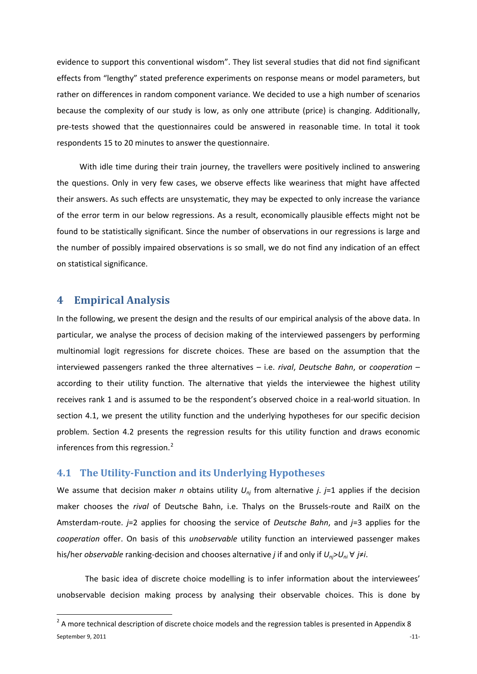evidence to support this conventional wisdom". They list several studies that did not find significant effects from "lengthy" stated preference experiments on response means or model parameters, but rather on differences in random component variance. We decided to use a high number of scenarios because the complexity of our study is low, as only one attribute (price) is changing. Additionally, pre-tests showed that the questionnaires could be answered in reasonable time. In total it took respondents 15 to 20 minutes to answer the questionnaire.

With idle time during their train journey, the travellers were positively inclined to answering the questions. Only in very few cases, we observe effects like weariness that might have affected their answers. As such effects are unsystematic, they may be expected to only increase the variance of the error term in our below regressions. As a result, economically plausible effects might not be found to be statistically significant. Since the number of observations in our regressions is large and the number of possibly impaired observations is so small, we do not find any indication of an effect on statistical significance.

## <span id="page-10-0"></span>**4 Empirical Analysis**

In the following, we present the design and the results of our empirical analysis of the above data. In particular, we analyse the process of decision making of the interviewed passengers by performing multinomial logit regressions for discrete choices. These are based on the assumption that the interviewed passengers ranked the three alternatives – i.e. *rival*, *Deutsche Bahn*, or *cooperation* – according to their utility function. The alternative that yields the interviewee the highest utility receives rank 1 and is assumed to be the respondent's observed choice in a real-world situation. In section [4.1,](#page-10-1) we present the utility function and the underlying hypotheses for our specific decision problem. Section [4.2](#page-15-0) presents the regression results for this utility function and draws economic inferences from this regression.<sup>[2](#page-10-2)</sup>

#### <span id="page-10-1"></span>**4.1 The Utility-Function and its Underlying Hypotheses**

We assume that decision maker *n* obtains utility *Unj* from alternative *j*. *j*=1 applies if the decision maker chooses the *rival* of Deutsche Bahn, i.e. Thalys on the Brussels-route and RailX on the Amsterdam-route. *j*=2 applies for choosing the service of *Deutsche Bahn*, and *j*=3 applies for the *cooperation* offer. On basis of this *unobservable* utility function an interviewed passenger makes his/her *observable* ranking-decision and chooses alternative *j* if and only if *Unj*>*Uni* ∀ *j*≠*i*.

The basic idea of discrete choice modelling is to infer information about the interviewees' unobservable decision making process by analysing their observable choices. This is done by

<span id="page-10-2"></span> $S$ eptember 9, 2011  $\sim$ 11- $2$  A more technical description of discrete choice models and the regression tables is presented in Appendi[x 8](#page-32-0)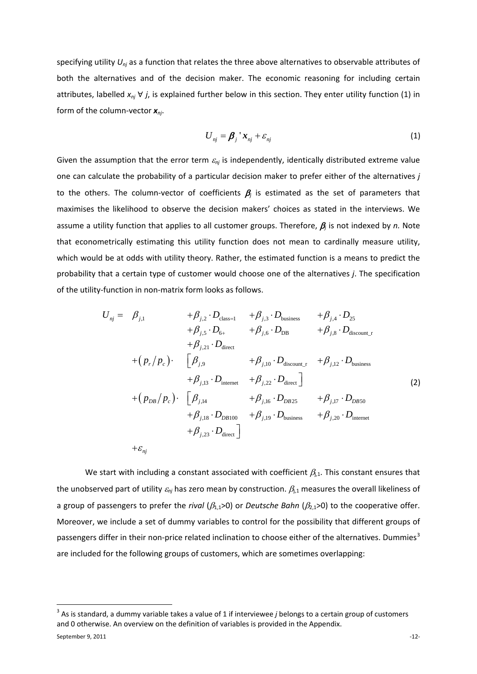specifying utility *Unj* as a function that relates the three above alternatives to observable attributes of both the alternatives and of the decision maker. The economic reasoning for including certain attributes, labelled *xnj* ∀ *j*, is explained further below in this section. They enter utility function (1) in form of the column-vector *xnj*.

$$
U_{nj} = \boldsymbol{\beta}_j \, ^{\mathsf{T}} \boldsymbol{x}_{nj} + \varepsilon_{nj} \tag{1}
$$

Given the assumption that the error term  $\varepsilon_{n}$  is independently, identically distributed extreme value one can calculate the probability of a particular decision maker to prefer either of the alternatives *j* to the others. The column-vector of coefficients  $\beta_i$  is estimated as the set of parameters that maximises the likelihood to observe the decision makers' choices as stated in the interviews. We assume a utility function that applies to all customer groups. Therefore, β*<sup>j</sup>* is not indexed by *n.* Note that econometrically estimating this utility function does not mean to cardinally measure utility, which would be at odds with utility theory. Rather, the estimated function is a means to predict the probability that a certain type of customer would choose one of the alternatives *j*. The specification of the utility-function in non-matrix form looks as follows.

$$
U_{nj} = \beta_{j,1} + \beta_{j,2} \cdot D_{\text{class}=1} + \beta_{j,3} \cdot D_{\text{business}} + \beta_{j,4} \cdot D_{25} + \beta_{j,5} \cdot D_{6+} + \beta_{j,6} \cdot D_{\text{DB}} + \beta_{j,8} \cdot D_{\text{discount\_r}} + \beta_{j,21} \cdot D_{\text{direct}} + (p_r/p_c) \cdot \begin{bmatrix} \beta_{j,9} & +\beta_{j,10} \cdot D_{\text{discount\_r}} & +\beta_{j,12} \cdot D_{\text{business}} \\ +\beta_{j,13} \cdot D_{\text{internet}} & +\beta_{j,22} \cdot D_{\text{direct}} \end{bmatrix} + (p_{DB}/p_c) \cdot \begin{bmatrix} \beta_{j,14} & +\beta_{j,16} \cdot D_{DB25} & +\beta_{j,17} \cdot D_{DB50} \\ +\beta_{j,18} \cdot D_{DB100} & +\beta_{j,19} \cdot D_{\text{business}} & +\beta_{j,20} \cdot D_{\text{internet}} \\ +\beta_{j,23} \cdot D_{\text{direct}} \end{bmatrix}
$$
\n(2)

We start with including a constant associated with coefficient  $\beta_{i,1}$ . This constant ensures that the unobserved part of utility  $\varepsilon_{nj}$  has zero mean by construction.  $\beta_{j,1}$  measures the overall likeliness of a group of passengers to prefer the *rival* ( $\beta_{1,1}$ >0) or *Deutsche Bahn* ( $\beta_{2,1}$ >0) to the cooperative offer. Moreover, we include a set of dummy variables to control for the possibility that different groups of passengers differ in their non-price related inclination to choose either of the alternatives. Dummies<sup>[3](#page-11-0)</sup> are included for the following groups of customers, which are sometimes overlapping:

<span id="page-11-0"></span> <sup>3</sup> As is standard, a dummy variable takes a value of 1 if interviewee *<sup>j</sup>* belongs to a certain group of customers and 0 otherwise. An overview on the definition of variables is provided in the Appendix.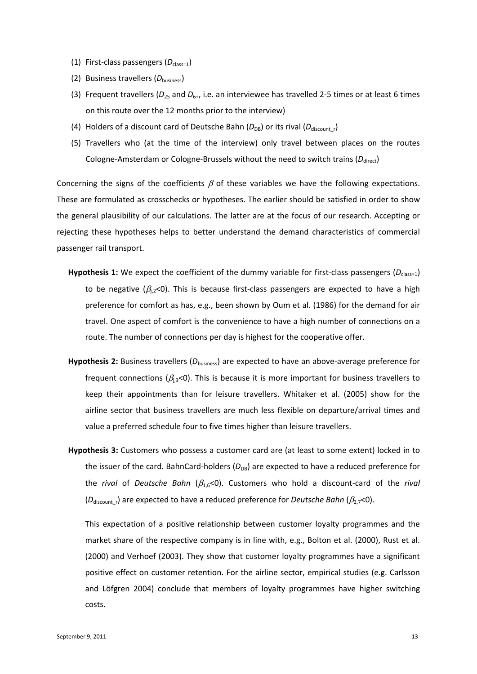- (1) First-class passengers (D<sub>class=1</sub>)
- (2) Business travellers (D<sub>business</sub>)
- (3) Frequent travellers ( $D_{25}$  and  $D_{6+}$ , i.e. an interviewee has travelled 2-5 times or at least 6 times on this route over the 12 months prior to the interview)
- (4) Holders of a discount card of Deutsche Bahn  $(D_{DB})$  or its rival  $(D_{discount r})$
- (5) Travellers who (at the time of the interview) only travel between places on the routes Cologne-Amsterdam or Cologne-Brussels without the need to switch trains (*D*<sub>direct</sub>)

Concerning the signs of the coefficients  $\beta$  of these variables we have the following expectations. These are formulated as crosschecks or hypotheses. The earlier should be satisfied in order to show the general plausibility of our calculations. The latter are at the focus of our research. Accepting or rejecting these hypotheses helps to better understand the demand characteristics of commercial passenger rail transport.

- Hypothesis 1: We expect the coefficient of the dummy variable for first-class passengers ( $D_{\text{class}=1}$ ) to be negative ( $\beta_{1,2}$ <0). This is because first-class passengers are expected to have a high preference for comfort as has, e.g., been shown by Oum et al. (1986) for the demand for air travel. One aspect of comfort is the convenience to have a high number of connections on a route. The number of connections per day is highest for the cooperative offer.
- **Hypothesis 2:** Business travellers (*D*business) are expected to have an above-average preference for frequent connections ( $\beta_{1,3}$ <0). This is because it is more important for business travellers to keep their appointments than for leisure travellers. Whitaker et al. (2005) show for the airline sector that business travellers are much less flexible on departure/arrival times and value a preferred schedule four to five times higher than leisure travellers.
- **Hypothesis 3:** Customers who possess a customer card are (at least to some extent) locked in to the issuer of the card. BahnCard-holders ( $D_{DB}$ ) are expected to have a reduced preference for the *rival* of *Deutsche Bahn* (β1,6<0). Customers who hold a discount-card of the *rival* (*D*<sub>discount</sub>, are expected to have a reduced preference for *Deutsche Bahn* (β<sub>2,7</sub><0).

This expectation of a positive relationship between customer loyalty programmes and the market share of the respective company is in line with, e.g., Bolton et al. (2000), Rust et al. (2000) and Verhoef (2003). They show that customer loyalty programmes have a significant positive effect on customer retention. For the airline sector, empirical studies (e.g. Carlsson and Löfgren 2004) conclude that members of loyalty programmes have higher switching costs.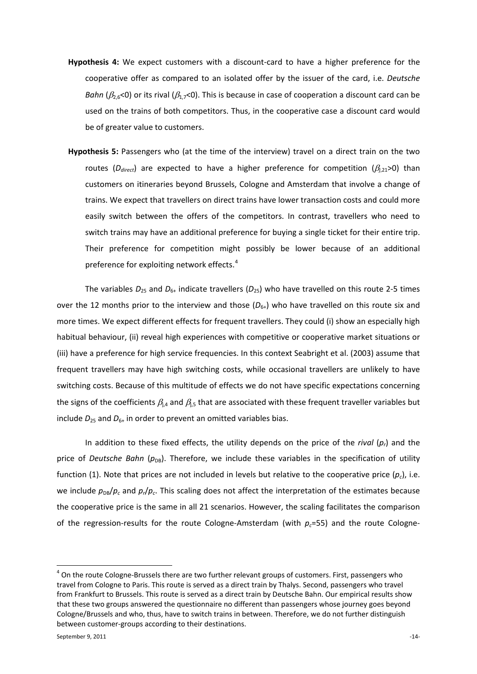- **Hypothesis 4:** We expect customers with a discount-card to have a higher preference for the cooperative offer as compared to an isolated offer by the issuer of the card, i.e. *Deutsche Bahn* ( $\beta_{2.6}$ <0) or its rival ( $\beta_{1.7}$ <0). This is because in case of cooperation a discount card can be used on the trains of both competitors. Thus, in the cooperative case a discount card would be of greater value to customers.
- **Hypothesis 5:** Passengers who (at the time of the interview) travel on a direct train on the two routes ( $D_{direct}$ ) are expected to have a higher preference for competition ( $\beta_{j,21}$ >0) than customers on itineraries beyond Brussels, Cologne and Amsterdam that involve a change of trains. We expect that travellers on direct trains have lower transaction costs and could more easily switch between the offers of the competitors. In contrast, travellers who need to switch trains may have an additional preference for buying a single ticket for their entire trip. Their preference for competition might possibly be lower because of an additional preference for exploiting network effects.<sup>[4](#page-13-0)</sup>

The variables  $D_{25}$  and  $D_{6+}$  indicate travellers ( $D_{25}$ ) who have travelled on this route 2-5 times over the 12 months prior to the interview and those  $(D_{6+})$  who have travelled on this route six and more times. We expect different effects for frequent travellers. They could (i) show an especially high habitual behaviour, (ii) reveal high experiences with competitive or cooperative market situations or (iii) have a preference for high service frequencies. In this context Seabright et al. (2003) assume that frequent travellers may have high switching costs, while occasional travellers are unlikely to have switching costs. Because of this multitude of effects we do not have specific expectations concerning the signs of the coefficients  $\beta_{1,4}$  and  $\beta_{1,5}$  that are associated with these frequent traveller variables but include  $D_{25}$  and  $D_{6+}$  in order to prevent an omitted variables bias.

In addition to these fixed effects, the utility depends on the price of the *rival* (*pr*) and the price of *Deutsche Bahn* ( $p_{DB}$ ). Therefore, we include these variables in the specification of utility function (1). Note that prices are not included in levels but relative to the cooperative price  $(p_c)$ , i.e. we include  $p_{DB}/p_c$  and  $p_r/p_c$ . This scaling does not affect the interpretation of the estimates because the cooperative price is the same in all 21 scenarios. However, the scaling facilitates the comparison of the regression-results for the route Cologne-Amsterdam (with  $p<sub>c</sub>=55$ ) and the route Cologne-

<span id="page-13-0"></span> $4$  On the route Cologne-Brussels there are two further relevant groups of customers. First, passengers who travel from Cologne to Paris. This route is served as a direct train by Thalys. Second, passengers who travel from Frankfurt to Brussels. This route is served as a direct train by Deutsche Bahn. Our empirical results show that these two groups answered the questionnaire no different than passengers whose journey goes beyond Cologne/Brussels and who, thus, have to switch trains in between. Therefore, we do not further distinguish between customer-groups according to their destinations.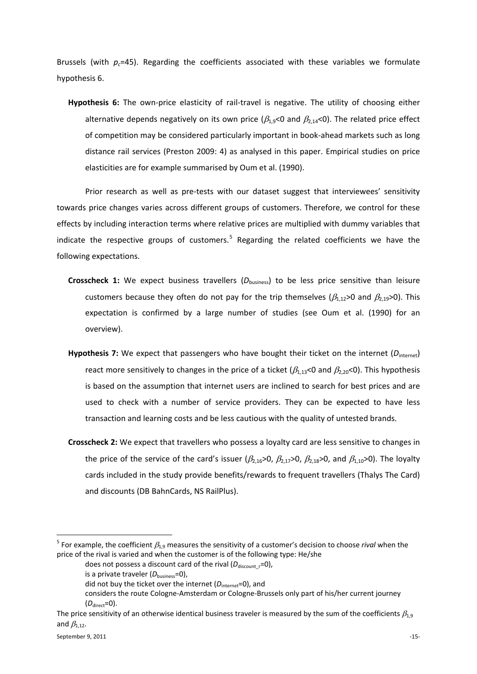Brussels (with  $p_c$ =45). Regarding the coefficients associated with these variables we formulate hypothesis 6.

**Hypothesis 6:** The own-price elasticity of rail-travel is negative. The utility of choosing either alternative depends negatively on its own price ( $\beta_{1.9}$ <0 and  $\beta_{2.14}$ <0). The related price effect of competition may be considered particularly important in book-ahead markets such as long distance rail services (Preston 2009: 4) as analysed in this paper. Empirical studies on price elasticities are for example summarised by Oum et al. (1990).

Prior research as well as pre-tests with our dataset suggest that interviewees' sensitivity towards price changes varies across different groups of customers. Therefore, we control for these effects by including interaction terms where relative prices are multiplied with dummy variables that indicate the respective groups of customers.<sup>[5](#page-14-0)</sup> Regarding the related coefficients we have the following expectations.

- **Crosscheck 1:** We expect business travellers ( $D_{\text{business}}$ ) to be less price sensitive than leisure customers because they often do not pay for the trip themselves  $(\beta_{1,1} > 0$  and  $\beta_{1,1} > 0$ . This expectation is confirmed by a large number of studies (see Oum et al. (1990) for an overview).
- Hypothesis 7: We expect that passengers who have bought their ticket on the internet (D<sub>internet</sub>) react more sensitively to changes in the price of a ticket ( $\beta_{1,13}$ <0 and  $\beta_{2,20}$ <0). This hypothesis is based on the assumption that internet users are inclined to search for best prices and are used to check with a number of service providers. They can be expected to have less transaction and learning costs and be less cautious with the quality of untested brands.
- **Crosscheck 2:** We expect that travellers who possess a loyalty card are less sensitive to changes in the price of the service of the card's issuer ( $\beta_{2,16}$ >0,  $\beta_{2,17}$ >0,  $\beta_{2,18}$ >0, and  $\beta_{1,10}$ >0). The loyalty cards included in the study provide benefits/rewards to frequent travellers (Thalys The Card) and discounts (DB BahnCards, NS RailPlus).

<span id="page-14-0"></span><sup>&</sup>lt;sup>5</sup> For example, the coefficient  $\beta_{1,9}$  measures the sensitivity of a customer's decision to choose *rival* when the price of the rival is varied and when the customer is of the following type: He/she

does not possess a discount card of the rival ( $D_{\text{discount}}$ <sub>r</sub>=0),

is a private traveler ( $D_{\text{business}}=0$ ),

did not buy the ticket over the internet ( $D<sub>internet</sub>=0$ ), and

considers the route Cologne-Amsterdam or Cologne-Brussels only part of his/her current journey  $(D_{\text{direct}}=0)$ .

The price sensitivity of an otherwise identical business traveler is measured by the sum of the coefficients  $\beta_{1.9}$ and  $\beta_{1.12}$ .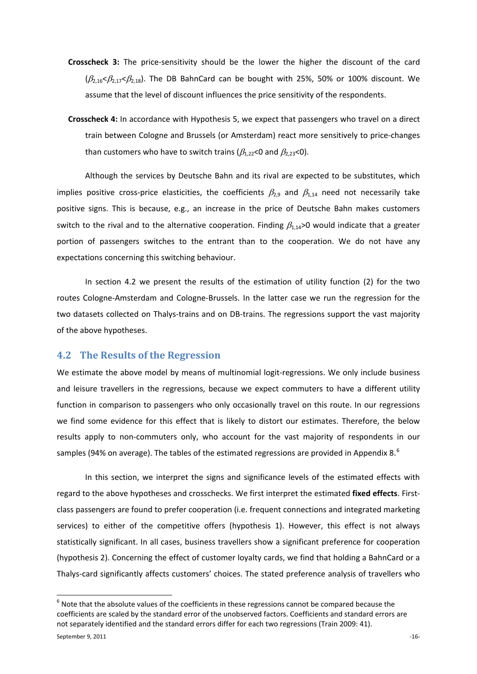- **Crosscheck 3:** The price-sensitivity should be the lower the higher the discount of the card  $(\beta_{2.16} \leq \beta_{2.17} \leq \beta_{2.18})$ . The DB BahnCard can be bought with 25%, 50% or 100% discount. We assume that the level of discount influences the price sensitivity of the respondents.
- **Crosscheck 4:** In accordance with Hypothesis 5, we expect that passengers who travel on a direct train between Cologne and Brussels (or Amsterdam) react more sensitively to price-changes than customers who have to switch trains ( $\beta_{1,22}$ <0 and  $\beta_{2,23}$ <0).

Although the services by Deutsche Bahn and its rival are expected to be substitutes, which implies positive cross-price elasticities, the coefficients  $\beta_{2,9}$  and  $\beta_{1,14}$  need not necessarily take positive signs. This is because, e.g., an increase in the price of Deutsche Bahn makes customers switch to the rival and to the alternative cooperation. Finding  $\beta_{1,14}$ >0 would indicate that a greater portion of passengers switches to the entrant than to the cooperation. We do not have any expectations concerning this switching behaviour.

In section [4.2](#page-15-0) we present the results of the estimation of utility function (2) for the two routes Cologne-Amsterdam and Cologne-Brussels. In the latter case we run the regression for the two datasets collected on Thalys-trains and on DB-trains. The regressions support the vast majority of the above hypotheses.

#### <span id="page-15-0"></span>**4.2 The Results of the Regression**

We estimate the above model by means of multinomial logit-regressions. We only include business and leisure travellers in the regressions, because we expect commuters to have a different utility function in comparison to passengers who only occasionally travel on this route. In our regressions we find some evidence for this effect that is likely to distort our estimates. Therefore, the below results apply to non-commuters only, who account for the vast majority of respondents in our samples (94% on average). The tables of the estimated regressions are provided in Appendix [8.](#page-32-0) $^{6}$  $^{6}$  $^{6}$ 

In this section, we interpret the signs and significance levels of the estimated effects with regard to the above hypotheses and crosschecks. We first interpret the estimated **fixed effects**. Firstclass passengers are found to prefer cooperation (i.e. frequent connections and integrated marketing services) to either of the competitive offers (hypothesis 1). However, this effect is not always statistically significant. In all cases, business travellers show a significant preference for cooperation (hypothesis 2). Concerning the effect of customer loyalty cards, we find that holding a BahnCard or a Thalys-card significantly affects customers' choices. The stated preference analysis of travellers who

<span id="page-15-1"></span> $6$  Note that the absolute values of the coefficients in these regressions cannot be compared because the coefficients are scaled by the standard error of the unobserved factors. Coefficients and standard errors are not separately identified and the standard errors differ for each two regressions (Train 2009: 41).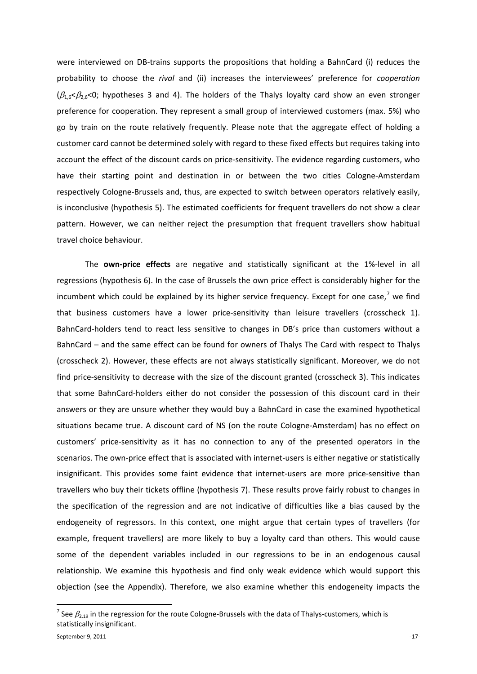were interviewed on DB-trains supports the propositions that holding a BahnCard (i) reduces the probability to choose the *rival* and (ii) increases the interviewees' preference for *cooperation*  $(\beta_{1.6} < \beta_{2.6} < 0$ ; hypotheses 3 and 4). The holders of the Thalys loyalty card show an even stronger preference for cooperation. They represent a small group of interviewed customers (max. 5%) who go by train on the route relatively frequently. Please note that the aggregate effect of holding a customer card cannot be determined solely with regard to these fixed effects but requires taking into account the effect of the discount cards on price-sensitivity. The evidence regarding customers, who have their starting point and destination in or between the two cities Cologne-Amsterdam respectively Cologne-Brussels and, thus, are expected to switch between operators relatively easily, is inconclusive (hypothesis 5). The estimated coefficients for frequent travellers do not show a clear pattern. However, we can neither reject the presumption that frequent travellers show habitual travel choice behaviour.

The **own-price effects** are negative and statistically significant at the 1%-level in all regressions (hypothesis 6). In the case of Brussels the own price effect is considerably higher for the incumbent which could be explained by its higher service frequency. Except for one case,<sup>[7](#page-16-0)</sup> we find that business customers have a lower price-sensitivity than leisure travellers (crosscheck 1). BahnCard-holders tend to react less sensitive to changes in DB's price than customers without a BahnCard – and the same effect can be found for owners of Thalys The Card with respect to Thalys (crosscheck 2). However, these effects are not always statistically significant. Moreover, we do not find price-sensitivity to decrease with the size of the discount granted (crosscheck 3). This indicates that some BahnCard-holders either do not consider the possession of this discount card in their answers or they are unsure whether they would buy a BahnCard in case the examined hypothetical situations became true. A discount card of NS (on the route Cologne-Amsterdam) has no effect on customers' price-sensitivity as it has no connection to any of the presented operators in the scenarios. The own-price effect that is associated with internet-users is either negative or statistically insignificant. This provides some faint evidence that internet-users are more price-sensitive than travellers who buy their tickets offline (hypothesis 7). These results prove fairly robust to changes in the specification of the regression and are not indicative of difficulties like a bias caused by the endogeneity of regressors. In this context, one might argue that certain types of travellers (for example, frequent travellers) are more likely to buy a loyalty card than others. This would cause some of the dependent variables included in our regressions to be in an endogenous causal relationship. We examine this hypothesis and find only weak evidence which would support this objection (see the Appendix). Therefore, we also examine whether this endogeneity impacts the

<span id="page-16-0"></span><sup>&</sup>lt;sup>7</sup> See  $\beta_{2,19}$  in the regression for the route Cologne-Brussels with the data of Thalys-customers, which is statistically insignificant.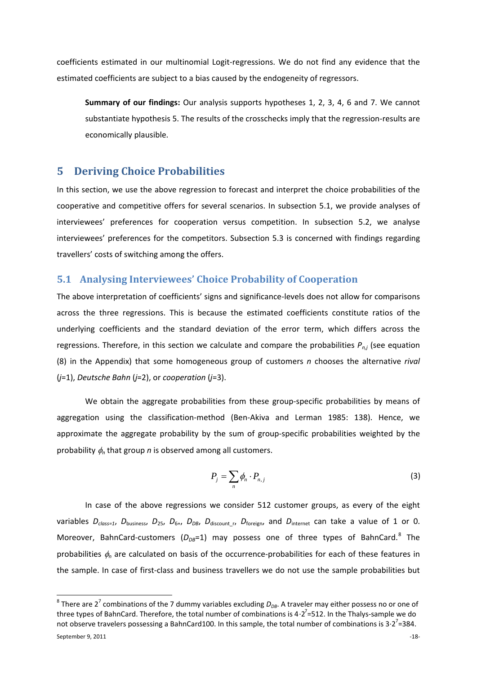coefficients estimated in our multinomial Logit-regressions. We do not find any evidence that the estimated coefficients are subject to a bias caused by the endogeneity of regressors.

**Summary of our findings:** Our analysis supports hypotheses 1, 2, 3, 4, 6 and 7. We cannot substantiate hypothesis 5. The results of the crosschecks imply that the regression-results are economically plausible.

# <span id="page-17-0"></span>**5 Deriving Choice Probabilities**

In this section, we use the above regression to forecast and interpret the choice probabilities of the cooperative and competitive offers for several scenarios. In subsection [5.1,](#page-17-1) we provide analyses of interviewees' preferences for cooperation versus competition. In subsection [5.2,](#page-21-0) we analyse interviewees' preferences for the competitors. Subsection [5.3](#page-24-0) is concerned with findings regarding travellers' costs of switching among the offers.

# <span id="page-17-1"></span>**5.1 Analysing Interviewees' Choice Probability of Cooperation**

The above interpretation of coefficients' signs and significance-levels does not allow for comparisons across the three regressions. This is because the estimated coefficients constitute ratios of the underlying coefficients and the standard deviation of the error term, which differs across the regressions. Therefore, in this section we calculate and compare the probabilities *Pn,j* (see equation (8) in the Appendix) that some homogeneous group of customers *n* chooses the alternative *rival* (*j*=1), *Deutsche Bahn* (*j*=2), or *cooperation* (*j*=3).

We obtain the aggregate probabilities from these group-specific probabilities by means of aggregation using the classification-method (Ben-Akiva and Lerman 1985: 138). Hence, we approximate the aggregate probability by the sum of group-specific probabilities weighted by the probability  $\phi_n$  that group *n* is observed among all customers.

$$
P_j = \sum_n \phi_n \cdot P_{n,j} \tag{3}
$$

In case of the above regressions we consider 512 customer groups, as every of the eight variables  $D_{class=1}$ ,  $D_{business}$ ,  $D_{25}$ ,  $D_{6+}$ ,  $D_{DB}$ ,  $D_{discount}$ ,  $D_{foreign}$ , and  $D_{internet}$  can take a value of 1 or 0. Moreover, BahnCard-customers  $(D_{DB} = 1)$  may possess one of three types of BahnCard.<sup>[8](#page-17-2)</sup> The probabilities φ*<sup>n</sup>* are calculated on basis of the occurrence-probabilities for each of these features in the sample. In case of first-class and business travellers we do not use the sample probabilities but

<span id="page-17-2"></span> $8$  There are 2<sup>7</sup> combinations of the 7 dummy variables excluding  $D_{DB}$ . A traveler may either possess no or one of three types of BahnCard. Therefore, the total number of combinations is 4 $\cdot$ 2<sup>7</sup>=512. In the Thalys-sample we do not observe travelers possessing a BahnCard100. In this sample, the total number of combinations is 3∙2<sup>7</sup>=384.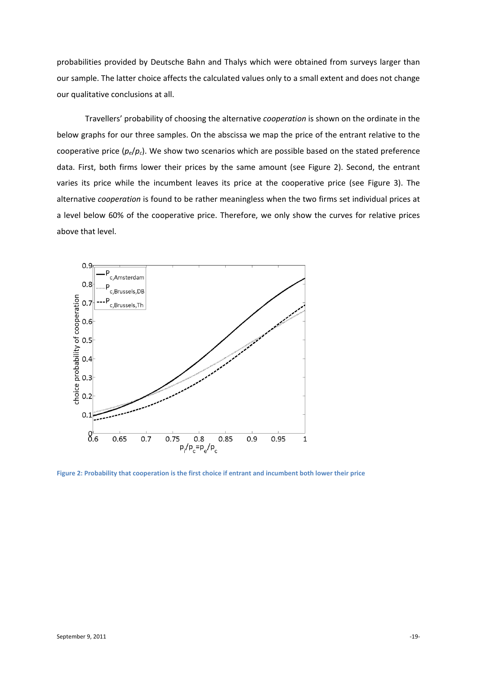probabilities provided by Deutsche Bahn and Thalys which were obtained from surveys larger than our sample. The latter choice affects the calculated values only to a small extent and does not change our qualitative conclusions at all.

Travellers' probability of choosing the alternative *cooperation* is shown on the ordinate in the below graphs for our three samples. On the abscissa we map the price of the entrant relative to the cooperative price (*pe*/*pc*). We show two scenarios which are possible based on the stated preference data. First, both firms lower their prices by the same amount (see [Figure 2\)](#page-18-0). Second, the entrant varies its price while the incumbent leaves its price at the cooperative price (see [Figure 3\)](#page-19-0). The alternative *cooperation* is found to be rather meaningless when the two firms set individual prices at a level below 60% of the cooperative price. Therefore, we only show the curves for relative prices above that level.



<span id="page-18-0"></span>**Figure 2: Probability that cooperation is the first choice if entrant and incumbent both lower their price**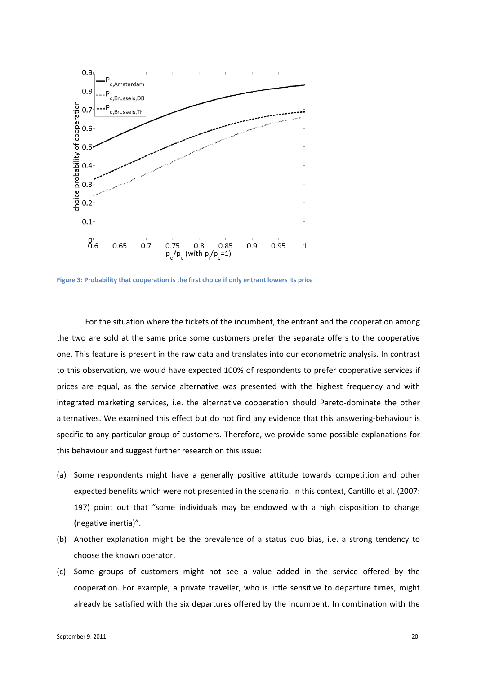

<span id="page-19-0"></span>**Figure 3: Probability that cooperation is the first choice if only entrant lowers its price**

For the situation where the tickets of the incumbent, the entrant and the cooperation among the two are sold at the same price some customers prefer the separate offers to the cooperative one. This feature is present in the raw data and translates into our econometric analysis. In contrast to this observation, we would have expected 100% of respondents to prefer cooperative services if prices are equal, as the service alternative was presented with the highest frequency and with integrated marketing services, i.e. the alternative cooperation should Pareto-dominate the other alternatives. We examined this effect but do not find any evidence that this answering-behaviour is specific to any particular group of customers. Therefore, we provide some possible explanations for this behaviour and suggest further research on this issue:

- (a) Some respondents might have a generally positive attitude towards competition and other expected benefits which were not presented in the scenario. In this context, Cantillo et al. (2007: 197) point out that "some individuals may be endowed with a high disposition to change (negative inertia)".
- (b) Another explanation might be the prevalence of a status quo bias, i.e. a strong tendency to choose the known operator.
- (c) Some groups of customers might not see a value added in the service offered by the cooperation. For example, a private traveller, who is little sensitive to departure times, might already be satisfied with the six departures offered by the incumbent. In combination with the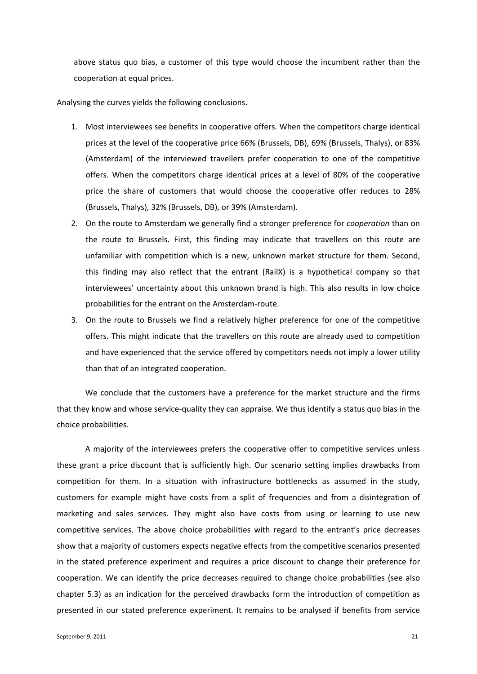above status quo bias, a customer of this type would choose the incumbent rather than the cooperation at equal prices.

Analysing the curves yields the following conclusions.

- 1. Most interviewees see benefits in cooperative offers. When the competitors charge identical prices at the level of the cooperative price 66% (Brussels, DB), 69% (Brussels, Thalys), or 83% (Amsterdam) of the interviewed travellers prefer cooperation to one of the competitive offers. When the competitors charge identical prices at a level of 80% of the cooperative price the share of customers that would choose the cooperative offer reduces to 28% (Brussels, Thalys), 32% (Brussels, DB), or 39% (Amsterdam).
- 2. On the route to Amsterdam we generally find a stronger preference for *cooperation* than on the route to Brussels. First, this finding may indicate that travellers on this route are unfamiliar with competition which is a new, unknown market structure for them. Second, this finding may also reflect that the entrant (RailX) is a hypothetical company so that interviewees' uncertainty about this unknown brand is high. This also results in low choice probabilities for the entrant on the Amsterdam-route.
- 3. On the route to Brussels we find a relatively higher preference for one of the competitive offers. This might indicate that the travellers on this route are already used to competition and have experienced that the service offered by competitors needs not imply a lower utility than that of an integrated cooperation.

We conclude that the customers have a preference for the market structure and the firms that they know and whose service-quality they can appraise. We thus identify a status quo bias in the choice probabilities.

A majority of the interviewees prefers the cooperative offer to competitive services unless these grant a price discount that is sufficiently high. Our scenario setting implies drawbacks from competition for them. In a situation with infrastructure bottlenecks as assumed in the study, customers for example might have costs from a split of frequencies and from a disintegration of marketing and sales services. They might also have costs from using or learning to use new competitive services. The above choice probabilities with regard to the entrant's price decreases show that a majority of customers expects negative effects from the competitive scenarios presented in the stated preference experiment and requires a price discount to change their preference for cooperation. We can identify the price decreases required to change choice probabilities (see also chapter [5.3\)](#page-24-0) as an indication for the perceived drawbacks form the introduction of competition as presented in our stated preference experiment. It remains to be analysed if benefits from service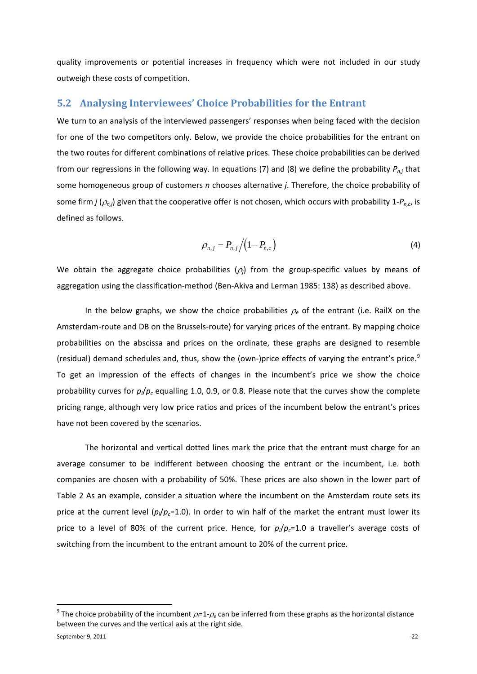quality improvements or potential increases in frequency which were not included in our study outweigh these costs of competition.

#### <span id="page-21-0"></span>**5.2 Analysing Interviewees' Choice Probabilities for the Entrant**

We turn to an analysis of the interviewed passengers' responses when being faced with the decision for one of the two competitors only. Below, we provide the choice probabilities for the entrant on the two routes for different combinations of relative prices. These choice probabilities can be derived from our regressions in the following way. In equations (7) and (8) we define the probability *Pn,j* that some homogeneous group of customers *n* chooses alternative *j*. Therefore, the choice probability of some firm *j* (<sup>ρ</sup>*n,j*) given that the cooperative offer is not chosen, which occurs with probability 1-*Pn,c*, is defined as follows.

$$
\rho_{n,j} = P_{n,j} / (1 - P_{n,c}) \tag{4}
$$

We obtain the aggregate choice probabilities  $(\rho_i)$  from the group-specific values by means of aggregation using the classification-method (Ben-Akiva and Lerman 1985: 138) as described above.

In the below graphs, we show the choice probabilities  $\rho_e$  of the entrant (i.e. RailX on the Amsterdam-route and DB on the Brussels-route) for varying prices of the entrant. By mapping choice probabilities on the abscissa and prices on the ordinate, these graphs are designed to resemble (residual) demand schedules and, thus, show the (own-)price effects of varying the entrant's price.<sup>[9](#page-21-1)</sup> To get an impression of the effects of changes in the incumbent's price we show the choice probability curves for  $p_i/p_c$  equalling 1.0, 0.9, or 0.8. Please note that the curves show the complete pricing range, although very low price ratios and prices of the incumbent below the entrant's prices have not been covered by the scenarios.

The horizontal and vertical dotted lines mark the price that the entrant must charge for an average consumer to be indifferent between choosing the entrant or the incumbent, i.e. both companies are chosen with a probability of 50%. These prices are also shown in the lower part of [Table 2](#page-22-0) As an example, consider a situation where the incumbent on the Amsterdam route sets its price at the current level  $(p_i/p_c=1.0)$ . In order to win half of the market the entrant must lower its price to a level of 80% of the current price. Hence, for  $p_i/p_c=1.0$  a traveller's average costs of switching from the incumbent to the entrant amount to 20% of the current price.

<span id="page-21-1"></span> <sup>9</sup> The choice probability of the incumbent <sup>ρ</sup>*<sup>i</sup>* =1-<sup>ρ</sup>*<sup>e</sup>* can be inferred from these graphs as the horizontal distance between the curves and the vertical axis at the right side.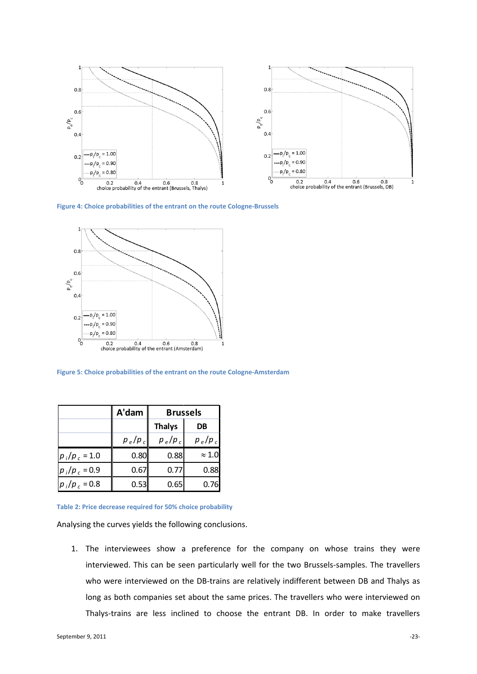

**Figure 4: Choice probabilities of the entrant on the route Cologne-Brussels**



<span id="page-22-1"></span>**Figure 5: Choice probabilities of the entrant on the route Cologne-Amsterdam**

|                 | A'dam     | <b>Brussels</b> |               |
|-----------------|-----------|-----------------|---------------|
|                 |           | <b>Thalys</b>   | DB            |
|                 | $p_e/p_c$ | $p_e/p_c$       | $p_e/p_c$     |
| $p_i/p_c = 1.0$ | 0.80      | 0.88            | $\approx 1.0$ |
| $p_i/p_c = 0.9$ | 0.67      | 0.77            | 0.88          |
| $p_i/p_c = 0.8$ | 0.53      | 0.65            | 0.76          |

<span id="page-22-0"></span>**Table 2: Price decrease required for 50% choice probability**

Analysing the curves yields the following conclusions.

1. The interviewees show a preference for the company on whose trains they were interviewed. This can be seen particularly well for the two Brussels-samples. The travellers who were interviewed on the DB-trains are relatively indifferent between DB and Thalys as long as both companies set about the same prices. The travellers who were interviewed on Thalys-trains are less inclined to choose the entrant DB. In order to make travellers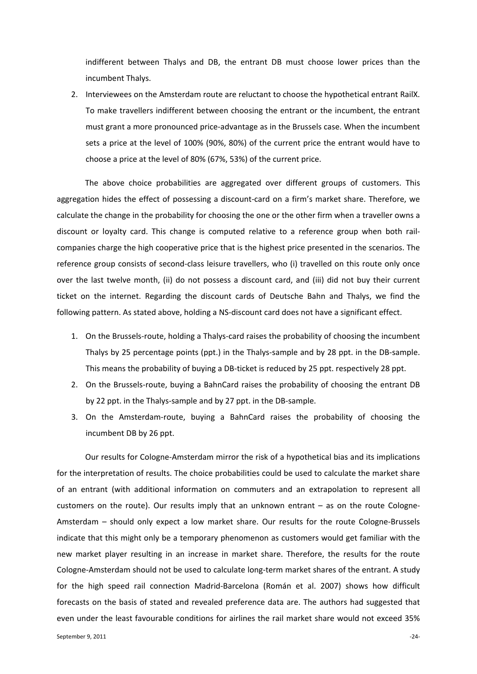indifferent between Thalys and DB, the entrant DB must choose lower prices than the incumbent Thalys.

2. Interviewees on the Amsterdam route are reluctant to choose the hypothetical entrant RailX. To make travellers indifferent between choosing the entrant or the incumbent, the entrant must grant a more pronounced price-advantage as in the Brussels case. When the incumbent sets a price at the level of 100% (90%, 80%) of the current price the entrant would have to choose a price at the level of 80% (67%, 53%) of the current price.

The above choice probabilities are aggregated over different groups of customers. This aggregation hides the effect of possessing a discount-card on a firm's market share. Therefore, we calculate the change in the probability for choosing the one or the other firm when a traveller owns a discount or loyalty card. This change is computed relative to a reference group when both railcompanies charge the high cooperative price that is the highest price presented in the scenarios. The reference group consists of second-class leisure travellers, who (i) travelled on this route only once over the last twelve month, (ii) do not possess a discount card, and (iii) did not buy their current ticket on the internet. Regarding the discount cards of Deutsche Bahn and Thalys, we find the following pattern. As stated above, holding a NS-discount card does not have a significant effect.

- 1. On the Brussels-route, holding a Thalys-card raises the probability of choosing the incumbent Thalys by 25 percentage points (ppt.) in the Thalys-sample and by 28 ppt. in the DB-sample. This means the probability of buying a DB-ticket is reduced by 25 ppt. respectively 28 ppt.
- 2. On the Brussels-route, buying a BahnCard raises the probability of choosing the entrant DB by 22 ppt. in the Thalys-sample and by 27 ppt. in the DB-sample.
- 3. On the Amsterdam-route, buying a BahnCard raises the probability of choosing the incumbent DB by 26 ppt.

Our results for Cologne-Amsterdam mirror the risk of a hypothetical bias and its implications for the interpretation of results. The choice probabilities could be used to calculate the market share of an entrant (with additional information on commuters and an extrapolation to represent all customers on the route). Our results imply that an unknown entrant – as on the route Cologne-Amsterdam – should only expect a low market share. Our results for the route Cologne-Brussels indicate that this might only be a temporary phenomenon as customers would get familiar with the new market player resulting in an increase in market share. Therefore, the results for the route Cologne-Amsterdam should not be used to calculate long-term market shares of the entrant. A study for the high speed rail connection Madrid-Barcelona (Román et al. 2007) shows how difficult forecasts on the basis of stated and revealed preference data are. The authors had suggested that even under the least favourable conditions for airlines the rail market share would not exceed 35%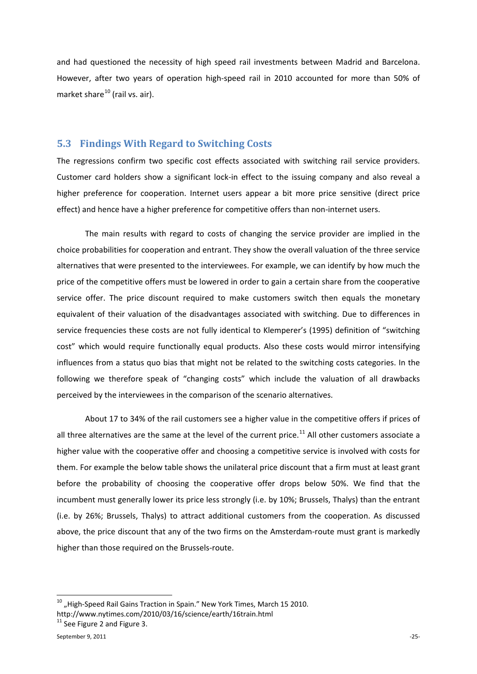and had questioned the necessity of high speed rail investments between Madrid and Barcelona. However, after two years of operation high-speed rail in 2010 accounted for more than 50% of market share $^{10}$  $^{10}$  $^{10}$  (rail vs. air).

#### <span id="page-24-0"></span>**5.3 Findings With Regard to Switching Costs**

The regressions confirm two specific cost effects associated with switching rail service providers. Customer card holders show a significant lock-in effect to the issuing company and also reveal a higher preference for cooperation. Internet users appear a bit more price sensitive (direct price effect) and hence have a higher preference for competitive offers than non-internet users.

The main results with regard to costs of changing the service provider are implied in the choice probabilities for cooperation and entrant. They show the overall valuation of the three service alternatives that were presented to the interviewees. For example, we can identify by how much the price of the competitive offers must be lowered in order to gain a certain share from the cooperative service offer. The price discount required to make customers switch then equals the monetary equivalent of their valuation of the disadvantages associated with switching. Due to differences in service frequencies these costs are not fully identical to Klemperer's (1995) definition of "switching cost" which would require functionally equal products. Also these costs would mirror intensifying influences from a status quo bias that might not be related to the switching costs categories. In the following we therefore speak of "changing costs" which include the valuation of all drawbacks perceived by the interviewees in the comparison of the scenario alternatives.

About 17 to 34% of the rail customers see a higher value in the competitive offers if prices of all three alternatives are the same at the level of the current price.<sup>[11](#page-24-2)</sup> All other customers associate a higher value with the cooperative offer and choosing a competitive service is involved with costs for them. For example the below table shows the unilateral price discount that a firm must at least grant before the probability of choosing the cooperative offer drops below 50%. We find that the incumbent must generally lower its price less strongly (i.e. by 10%; Brussels, Thalys) than the entrant (i.e. by 26%; Brussels, Thalys) to attract additional customers from the cooperation. As discussed above, the price discount that any of the two firms on the Amsterdam-route must grant is markedly higher than those required on the Brussels-route.

<span id="page-24-1"></span> $^{10}$  "High-Speed Rail Gains Traction in Spain." New York Times, March 15 2010.

http://www.nytimes.com/2010/03/16/science/earth/16train.html

<span id="page-24-2"></span> $11$  Se[e Figure 2](#page-18-0) and [Figure 3.](#page-19-0)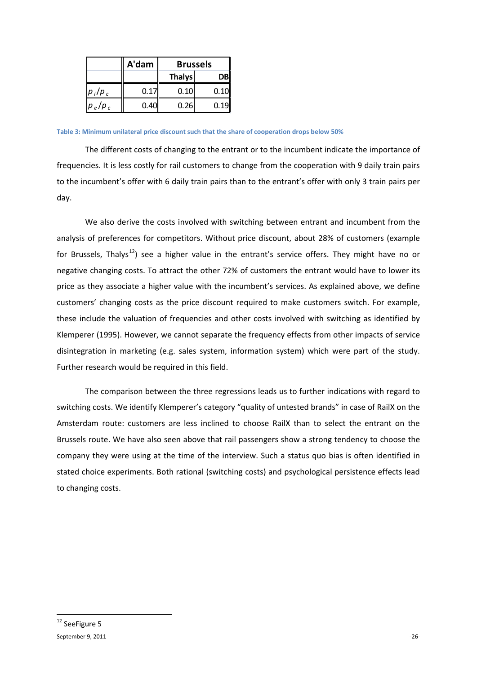|             | A'dam | <b>Brussels</b> |      |
|-------------|-------|-----------------|------|
|             |       | <b>Thalys</b>   | DBI  |
| $ p_i/p_c $ | 0.17  | 0.10            | 0.10 |
| $ p_e/p_c $ | 0.40  | 0.26            | 0.19 |

**Table 3: Minimum unilateral price discount such that the share of cooperation drops below 50%**

The different costs of changing to the entrant or to the incumbent indicate the importance of frequencies. It is less costly for rail customers to change from the cooperation with 9 daily train pairs to the incumbent's offer with 6 daily train pairs than to the entrant's offer with only 3 train pairs per day.

We also derive the costs involved with switching between entrant and incumbent from the analysis of preferences for competitors. Without price discount, about 28% of customers (example for Brussels, Thalys<sup>[12](#page-25-1)</sup>) see a higher value in the entrant's service offers. They might have no or negative changing costs. To attract the other 72% of customers the entrant would have to lower its price as they associate a higher value with the incumbent's services. As explained above, we define customers' changing costs as the price discount required to make customers switch. For example, these include the valuation of frequencies and other costs involved with switching as identified by Klemperer (1995). However, we cannot separate the frequency effects from other impacts of service disintegration in marketing (e.g. sales system, information system) which were part of the study. Further research would be required in this field.

The comparison between the three regressions leads us to further indications with regard to switching costs. We identify Klemperer's category "quality of untested brands" in case of RailX on the Amsterdam route: customers are less inclined to choose RailX than to select the entrant on the Brussels route. We have also seen above that rail passengers show a strong tendency to choose the company they were using at the time of the interview. Such a status quo bias is often identified in stated choice experiments. Both rational (switching costs) and psychological persistence effects lead to changing costs.

<span id="page-25-1"></span><span id="page-25-0"></span> $S$ eptember 9, 2011  $-26$ <sup>12</sup> Se[eFigure 5](#page-22-1)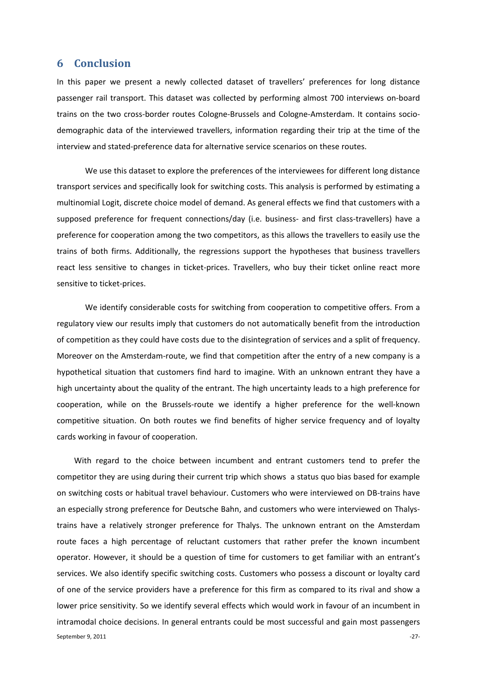#### **6 Conclusion**

In this paper we present a newly collected dataset of travellers' preferences for long distance passenger rail transport. This dataset was collected by performing almost 700 interviews on-board trains on the two cross-border routes Cologne-Brussels and Cologne-Amsterdam. It contains sociodemographic data of the interviewed travellers, information regarding their trip at the time of the interview and stated-preference data for alternative service scenarios on these routes.

We use this dataset to explore the preferences of the interviewees for different long distance transport services and specifically look for switching costs. This analysis is performed by estimating a multinomial Logit, discrete choice model of demand. As general effects we find that customers with a supposed preference for frequent connections/day (i.e. business- and first class-travellers) have a preference for cooperation among the two competitors, as this allows the travellers to easily use the trains of both firms. Additionally, the regressions support the hypotheses that business travellers react less sensitive to changes in ticket-prices. Travellers, who buy their ticket online react more sensitive to ticket-prices.

We identify considerable costs for switching from cooperation to competitive offers. From a regulatory view our results imply that customers do not automatically benefit from the introduction of competition as they could have costs due to the disintegration of services and a split of frequency. Moreover on the Amsterdam-route, we find that competition after the entry of a new company is a hypothetical situation that customers find hard to imagine. With an unknown entrant they have a high uncertainty about the quality of the entrant. The high uncertainty leads to a high preference for cooperation, while on the Brussels-route we identify a higher preference for the well-known competitive situation. On both routes we find benefits of higher service frequency and of loyalty cards working in favour of cooperation.

September 9, 2011 **Figure 2012** -27-With regard to the choice between incumbent and entrant customers tend to prefer the competitor they are using during their current trip which shows a status quo bias based for example on switching costs or habitual travel behaviour. Customers who were interviewed on DB-trains have an especially strong preference for Deutsche Bahn, and customers who were interviewed on Thalystrains have a relatively stronger preference for Thalys. The unknown entrant on the Amsterdam route faces a high percentage of reluctant customers that rather prefer the known incumbent operator. However, it should be a question of time for customers to get familiar with an entrant's services. We also identify specific switching costs. Customers who possess a discount or loyalty card of one of the service providers have a preference for this firm as compared to its rival and show a lower price sensitivity. So we identify several effects which would work in favour of an incumbent in intramodal choice decisions. In general entrants could be most successful and gain most passengers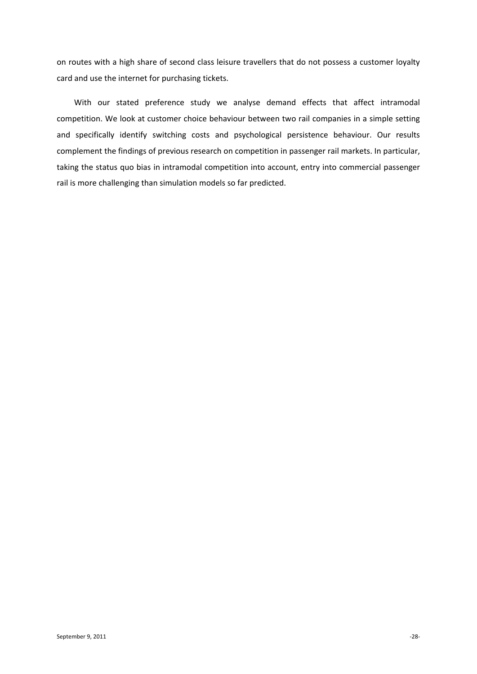on routes with a high share of second class leisure travellers that do not possess a customer loyalty card and use the internet for purchasing tickets.

With our stated preference study we analyse demand effects that affect intramodal competition. We look at customer choice behaviour between two rail companies in a simple setting and specifically identify switching costs and psychological persistence behaviour. Our results complement the findings of previous research on competition in passenger rail markets. In particular, taking the status quo bias in intramodal competition into account, entry into commercial passenger rail is more challenging than simulation models so far predicted.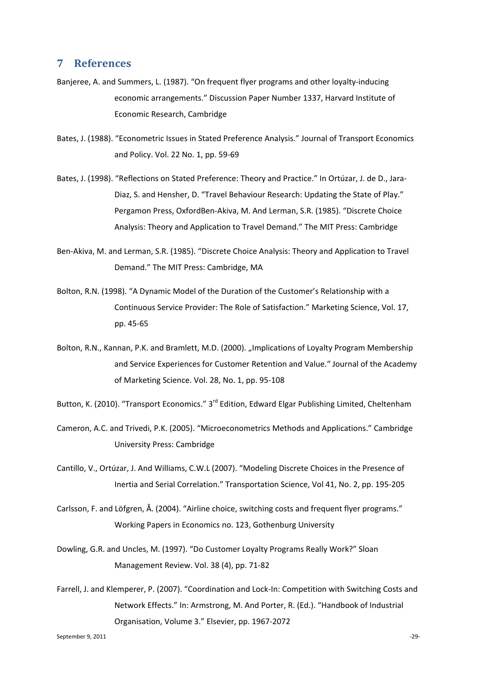## **7 References**

- Banjeree, A. and Summers, L. (1987). "On frequent flyer programs and other loyalty-inducing economic arrangements." Discussion Paper Number 1337, Harvard Institute of Economic Research, Cambridge
- Bates, J. (1988). "Econometric Issues in Stated Preference Analysis." Journal of Transport Economics and Policy. Vol. 22 No. 1, pp. 59-69
- Bates, J. (1998). "Reflections on Stated Preference: Theory and Practice." In Ortúzar, J. de D., Jara-Diaz, S. and Hensher, D. "Travel Behaviour Research: Updating the State of Play." Pergamon Press, OxfordBen-Akiva, M. And Lerman, S.R. (1985). "Discrete Choice Analysis: Theory and Application to Travel Demand." The MIT Press: Cambridge
- Ben-Akiva, M. and Lerman, S.R. (1985). "Discrete Choice Analysis: Theory and Application to Travel Demand." The MIT Press: Cambridge, MA
- Bolton, R.N. (1998). "A Dynamic Model of the Duration of the Customer's Relationship with a Continuous Service Provider: The Role of Satisfaction." Marketing Science, Vol. 17, pp. 45-65
- Bolton, R.N., Kannan, P.K. and Bramlett, M.D. (2000). "Implications of Loyalty Program Membership and Service Experiences for Customer Retention and Value." Journal of the Academy of Marketing Science. Vol. 28, No. 1, pp. 95-108
- Button, K. (2010). "Transport Economics." 3<sup>rd</sup> Edition, Edward Elgar Publishing Limited, Cheltenham
- Cameron, A.C. and Trivedi, P.K. (2005). "Microeconometrics Methods and Applications." Cambridge University Press: Cambridge
- Cantillo, V., Ortúzar, J. And Williams, C.W.L (2007). "Modeling Discrete Choices in the Presence of Inertia and Serial Correlation." Transportation Science, Vol 41, No. 2, pp. 195-205
- Carlsson, F. and Löfgren, Å. (2004). "Airline choice, switching costs and frequent flyer programs." Working Papers in Economics no. 123, Gothenburg University
- Dowling, G.R. and Uncles, M. (1997). "Do Customer Loyalty Programs Really Work?" Sloan Management Review. Vol. 38 (4), pp. 71-82
- Farrell, J. and Klemperer, P. (2007). "Coordination and Lock-In: Competition with Switching Costs and Network Effects." In: Armstrong, M. And Porter, R. (Ed.). "Handbook of Industrial Organisation, Volume 3." Elsevier, pp. 1967-2072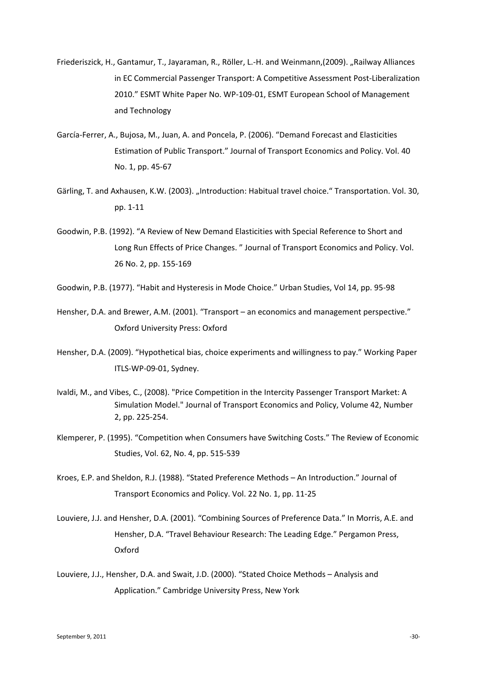- Friederiszick, H., Gantamur, T., Jayaraman, R., Röller, L.-H. and Weinmann, (2009). "Railway Alliances in EC Commercial Passenger Transport: A Competitive Assessment Post-Liberalization 2010." ESMT White Paper No. WP-109-01, ESMT European School of Management and Technology
- García-Ferrer, A., Bujosa, M., Juan, A. and Poncela, P. (2006). "Demand Forecast and Elasticities Estimation of Public Transport." Journal of Transport Economics and Policy. Vol. 40 No. 1, pp. 45-67
- Gärling, T. and Axhausen, K.W. (2003). "Introduction: Habitual travel choice." Transportation. Vol. 30, pp. 1-11
- Goodwin, P.B. (1992). "A Review of New Demand Elasticities with Special Reference to Short and Long Run Effects of Price Changes. " Journal of Transport Economics and Policy. Vol. 26 No. 2, pp. 155-169
- Goodwin, P.B. (1977). "Habit and Hysteresis in Mode Choice." Urban Studies, Vol 14, pp. 95-98
- Hensher, D.A. and Brewer, A.M. (2001). "Transport an economics and management perspective." Oxford University Press: Oxford
- Hensher, D.A. (2009). "Hypothetical bias, choice experiments and willingness to pay." Working Paper ITLS-WP-09-01, Sydney.
- Ivaldi, M., and Vibes, C., (2008). ["Price](http://ideas.repec.org/p/ide/wpaper/4261.html) Competition in the Intercity Passenger Transport Market: A Simulation Model." Journal of Transport Economics and Policy, Volume 42, Number 2, pp. 225-254.
- Klemperer, P. (1995). "Competition when Consumers have Switching Costs." The Review of Economic Studies, Vol. 62, No. 4, pp. 515-539
- Kroes, E.P. and Sheldon, R.J. (1988). "Stated Preference Methods An Introduction." Journal of Transport Economics and Policy. Vol. 22 No. 1, pp. 11-25
- Louviere, J.J. and Hensher, D.A. (2001). "Combining Sources of Preference Data." In Morris, A.E. and Hensher, D.A. "Travel Behaviour Research: The Leading Edge." Pergamon Press, Oxford
- Louviere, J.J., Hensher, D.A. and Swait, J.D. (2000). "Stated Choice Methods Analysis and Application." Cambridge University Press, New York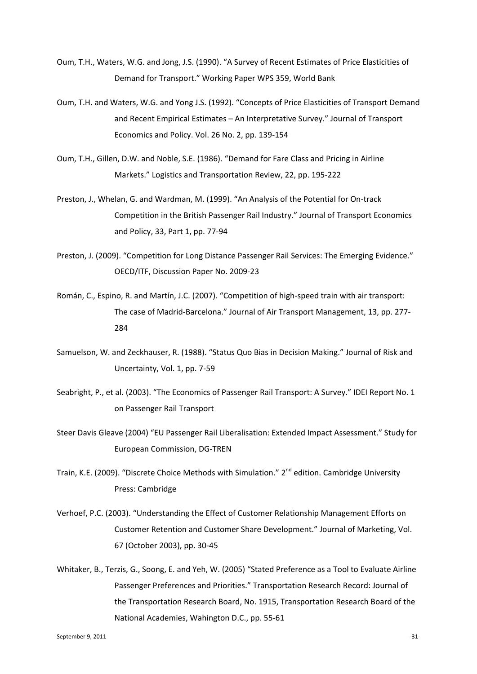- Oum, T.H., Waters, W.G. and Jong, J.S. (1990). "A Survey of Recent Estimates of Price Elasticities of Demand for Transport." Working Paper WPS 359, World Bank
- Oum, T.H. and Waters, W.G. and Yong J.S. (1992). "Concepts of Price Elasticities of Transport Demand and Recent Empirical Estimates – An Interpretative Survey." Journal of Transport Economics and Policy. Vol. 26 No. 2, pp. 139-154
- Oum, T.H., Gillen, D.W. and Noble, S.E. (1986). "Demand for Fare Class and Pricing in Airline Markets." Logistics and Transportation Review, 22, pp. 195-222
- Preston, J., Whelan, G. and Wardman, M. (1999). "An Analysis of the Potential for On-track Competition in the British Passenger Rail Industry." Journal of Transport Economics and Policy, 33, Part 1, pp. 77-94
- Preston, J. (2009). "Competition for Long Distance Passenger Rail Services: The Emerging Evidence." OECD/ITF, Discussion Paper No. 2009-23
- Román, C., Espino, R. and Martín, J.C. (2007). "Competition of high-speed train with air transport: The case of Madrid-Barcelona." Journal of Air Transport Management, 13, pp. 277- 284
- Samuelson, W. and Zeckhauser, R. (1988). "Status Quo Bias in Decision Making." Journal of Risk and Uncertainty, Vol. 1, pp. 7-59
- Seabright, P., et al. (2003). "The Economics of Passenger Rail Transport: A Survey." IDEI Report No. 1 on Passenger Rail Transport
- Steer Davis Gleave (2004) "EU Passenger Rail Liberalisation: Extended Impact Assessment." Study for European Commission, DG-TREN
- Train, K.E. (2009). "Discrete Choice Methods with Simulation." 2<sup>nd</sup> edition. Cambridge University Press: Cambridge
- Verhoef, P.C. (2003). "Understanding the Effect of Customer Relationship Management Efforts on Customer Retention and Customer Share Development." Journal of Marketing, Vol. 67 (October 2003), pp. 30-45
- Whitaker, B., Terzis, G., Soong, E. and Yeh, W. (2005) "Stated Preference as a Tool to Evaluate Airline Passenger Preferences and Priorities." Transportation Research Record: Journal of the Transportation Research Board, No. 1915, Transportation Research Board of the National Academies, Wahington D.C., pp. 55-61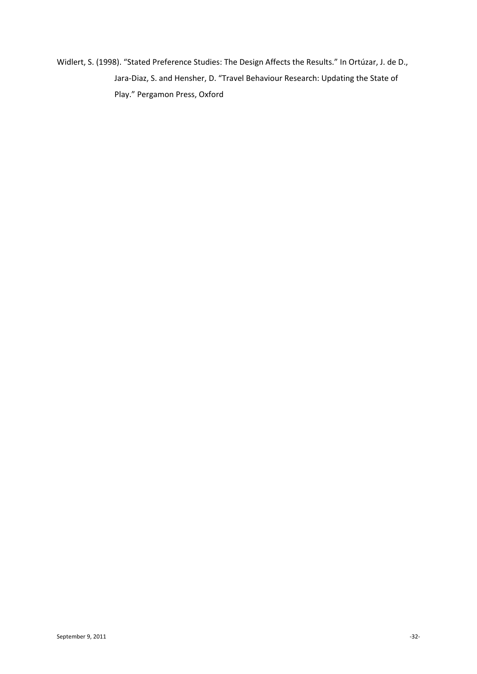Widlert, S. (1998). "Stated Preference Studies: The Design Affects the Results." In Ortúzar, J. de D., Jara-Diaz, S. and Hensher, D. "Travel Behaviour Research: Updating the State of Play." Pergamon Press, Oxford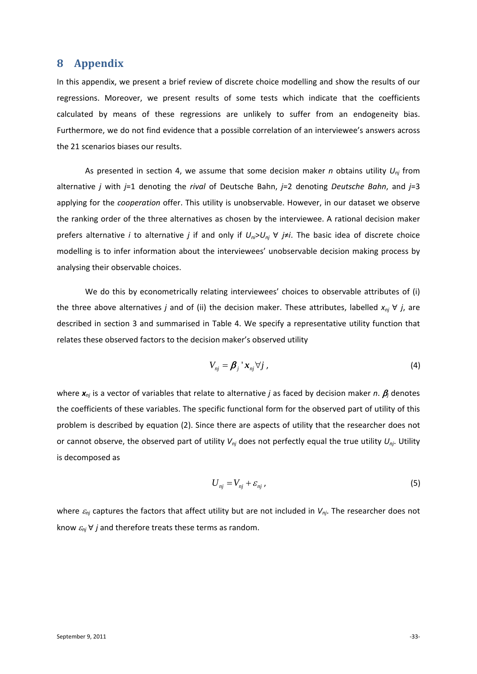#### <span id="page-32-0"></span>**8 Appendix**

In this appendix, we present a brief review of discrete choice modelling and show the results of our regressions. Moreover, we present results of some tests which indicate that the coefficients calculated by means of these regressions are unlikely to suffer from an endogeneity bias. Furthermore, we do not find evidence that a possible correlation of an interviewee's answers across the 21 scenarios biases our results.

As presented in section [4,](#page-10-0) we assume that some decision maker *n* obtains utility *Unj* from alternative *j* with *j*=1 denoting the *rival* of Deutsche Bahn, *j*=2 denoting *Deutsche Bahn*, and *j*=3 applying for the *cooperation* offer. This utility is unobservable. However, in our dataset we observe the ranking order of the three alternatives as chosen by the interviewee. A rational decision maker prefers alternative *i* to alternative *j* if and only if *Uni*>*Unj* ∀ *j*≠*i*. The basic idea of discrete choice modelling is to infer information about the interviewees' unobservable decision making process by analysing their observable choices.

We do this by econometrically relating interviewees' choices to observable attributes of (i) the three above alternatives *j* and of (ii) the decision maker. These attributes, labelled  $x_{nj}$   $\forall$  *j*, are described in section [3](#page-6-0) and summarised in [Table 4.](#page-33-0) We specify a representative utility function that relates these observed factors to the decision maker's observed utility

$$
V_{nj} = \beta_j \dot{x}_{nj} \forall j \tag{4}
$$

where *xnj* is a vector of variables that relate to alternative *j* as faced by decision maker *n*. β*<sup>j</sup>* denotes the coefficients of these variables. The specific functional form for the observed part of utility of this problem is described by equation (2). Since there are aspects of utility that the researcher does not or cannot observe, the observed part of utility  $V_{ni}$  does not perfectly equal the true utility  $U_{ni}$ . Utility is decomposed as

$$
U_{nj} = V_{nj} + \varepsilon_{nj} \,, \tag{5}
$$

where <sup>ε</sup>*nj* captures the factors that affect utility but are not included in *Vnj*. The researcher does not know  $\varepsilon_{nj}$   $\forall$  *j* and therefore treats these terms as random.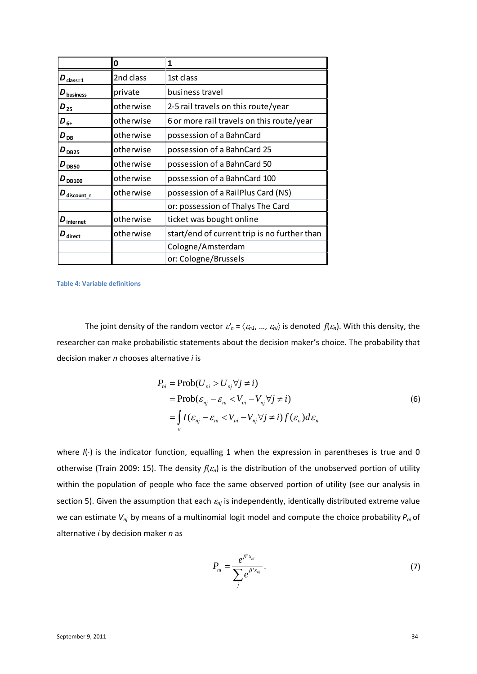|                                       | 0         | 1                                            |
|---------------------------------------|-----------|----------------------------------------------|
| $\boldsymbol{D}_{\mathrm{class}=1}$   | 2nd class | 1st class                                    |
| $D_{\text{business}}$                 | private   | business travel                              |
| $D_{25}$                              | otherwise | 2-5 rail travels on this route/year          |
| $D_{6+}$                              | otherwise | 6 or more rail travels on this route/year    |
| $D_{DB}$                              | otherwise | possession of a BahnCard                     |
| $D_{DB25}$                            | otherwise | possession of a BahnCard 25                  |
| $D_{DB50}$                            | otherwise | possession of a BahnCard 50                  |
| $D_{DB100}$                           | otherwise | possession of a BahnCard 100                 |
| $\boldsymbol{D}_{\text{discount\_r}}$ | otherwise | possession of a RailPlus Card (NS)           |
|                                       |           | or: possession of Thalys The Card            |
| $\boldsymbol{D}_{\mathsf{internet}}$  | otherwise | ticket was bought online                     |
| $\boldsymbol{D}_{\mathsf{direct}}$    | otherwise | start/end of current trip is no further than |
|                                       |           | Cologne/Amsterdam                            |
|                                       |           | or: Cologne/Brussels                         |

<span id="page-33-0"></span>**Table 4: Variable definitions**

The joint density of the random vector  $\varepsilon'_n = \langle \varepsilon_{n1}, ..., \varepsilon_{nJ} \rangle$  is denoted  $f(\varepsilon_n)$ . With this density, the researcher can make probabilistic statements about the decision maker's choice. The probability that decision maker *n* chooses alternative *i* is

$$
P_{ni} = \text{Prob}(U_{ni} > U_{nj} \forall j \neq i)
$$
  
= 
$$
\text{Prob}(\varepsilon_{nj} - \varepsilon_{ni} < V_{ni} - V_{nj} \forall j \neq i)
$$
  
= 
$$
\int_{\varepsilon} I(\varepsilon_{nj} - \varepsilon_{ni} < V_{ni} - V_{nj} \forall j \neq i) f(\varepsilon_n) d\varepsilon_n
$$
 (6)

where *I*(⋅) is the indicator function, equalling 1 when the expression in parentheses is true and 0 otherwise (Train 2009: 15). The density  $f(\varepsilon_n)$  is the distribution of the unobserved portion of utility within the population of people who face the same observed portion of utility (see our analysis in section [5\)](#page-17-0). Given the assumption that each <sup>ε</sup>*nj* is independently, identically distributed extreme value we can estimate *Vnj* by means of a multinomial logit model and compute the choice probability *Pni* of alternative *i* by decision maker *n* as

$$
P_{ni} = \frac{e^{\beta' x_{ni}}}{\sum_{j} e^{\beta' x_{nj}}}.
$$
\n(7)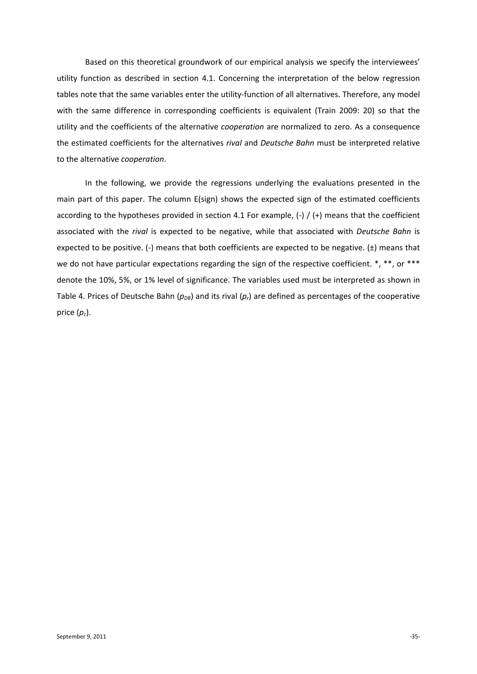Based on this theoretical groundwork of our empirical analysis we specify the interviewees' utility function as described in section [4.1.](#page-10-1) Concerning the interpretation of the below regression tables note that the same variables enter the utility-function of all alternatives. Therefore, any model with the same difference in corresponding coefficients is equivalent (Train 2009: 20) so that the utility and the coefficients of the alternative *cooperation* are normalized to zero. As a consequence the estimated coefficients for the alternatives *rival* and *Deutsche Bahn* must be interpreted relative to the alternative *cooperation*.

In the following, we provide the regressions underlying the evaluations presented in the main part of this paper. The column E(sign) shows the expected sign of the estimated coefficients according to the hypotheses provided in section [4.1](#page-10-1) For example,  $(-)$  / $(+)$  means that the coefficient associated with the *rival* is expected to be negative, while that associated with *Deutsche Bahn* is expected to be positive. (-) means that both coefficients are expected to be negative.  $(\pm)$  means that we do not have particular expectations regarding the sign of the respective coefficient. \*, \*\*, or \*\*\* denote the 10%, 5%, or 1% level of significance. The variables used must be interpreted as shown in [Table 4.](#page-33-0) Prices of Deutsche Bahn ( $p_{DB}$ ) and its rival ( $p_t$ ) are defined as percentages of the cooperative price  $(p_c)$ .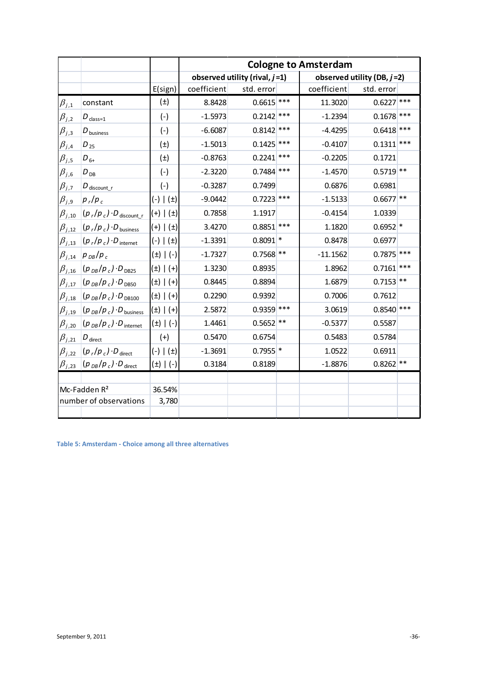|                |                                                              |                   | <b>Cologne to Amsterdam</b> |                                  |       |             |                               |  |  |  |  |
|----------------|--------------------------------------------------------------|-------------------|-----------------------------|----------------------------------|-------|-------------|-------------------------------|--|--|--|--|
|                |                                                              |                   |                             | observed utility (rival, $j=1$ ) |       |             | observed utility (DB, $j=2$ ) |  |  |  |  |
|                |                                                              | E(sign)           | coefficient                 | std. error                       |       | coefficient | std. error                    |  |  |  |  |
| $\beta_{j,1}$  | constant                                                     | $(\pm)$           | 8.8428                      | $0.6615$ ***                     |       | 11.3020     | $0.6227$ ***                  |  |  |  |  |
| $\beta_{j,2}$  | $D_{\text{class}=1}$                                         | $(-)$             | $-1.5973$                   | $0.2142$ ***                     |       | $-1.2394$   | $0.1678$ ***                  |  |  |  |  |
| $\beta_{j,3}$  | $D_{\text{business}}$                                        | $(-)$             | $-6.6087$                   | $0.8142$ ***                     |       | $-4.4295$   | $0.6418$ ***                  |  |  |  |  |
| $\beta_{j,4}$  | $D_{25}$                                                     | $(\pm)$           | $-1.5013$                   | 0.1425                           | $***$ | $-0.4107$   | $0.1311$ ***                  |  |  |  |  |
| $\beta_{j,5}$  | $D_{6+}$                                                     | $(\pm)$           | $-0.8763$                   | 0.2241                           | $***$ | $-0.2205$   | 0.1721                        |  |  |  |  |
| $\beta_{j,6}$  | $D_{DB}$                                                     | $(-)$             | $-2.3220$                   | $0.7484$ ***                     |       | $-1.4570$   | $0.5719$ **                   |  |  |  |  |
| $\beta_{j,7}$  | $D_{\text{discount}_r}$                                      | $(-)$             | $-0.3287$                   | 0.7499                           |       | 0.6876      | 0.6981                        |  |  |  |  |
| $\beta_{j,9}$  | $p_r/p_c$                                                    | $(-)   (±)$       | $-9.0442$                   | 0.7223                           | ***   | $-1.5133$   | $0.6677$ **                   |  |  |  |  |
| $\beta_{j,10}$ | $(p_r/p_c) \cdot D_{\text{discount r}}$                      | $(+)$ $(\pm)$     | 0.7858                      | 1.1917                           |       | $-0.4154$   | 1.0339                        |  |  |  |  |
|                | $\beta_{j,12}$ $(p_r/p_c) \cdot D_{\text{business}}$         | $(+)$ $(\pm)$     | 3.4270                      | 0.8851                           | ***   | 1.1820      | $0.6952$ *                    |  |  |  |  |
|                | $\beta_{j,13}$ $(p_r/p_c) \cdot D_{\text{internet}}$         | $(-)$ $(\pm)$     | $-1.3391$                   | $0.8091$ *                       |       | 0.8478      | 0.6977                        |  |  |  |  |
| $\beta_{j,14}$ | $p_{DB}/p_c$                                                 | $(\pm)$   (-)     | $-1.7327$                   | $0.7568$ **                      |       | $-11.1562$  | $0.7875$ ***                  |  |  |  |  |
|                | $\beta_{j,16}$ $(p_{DB}/p_c) \cdot D_{DB25}$                 | $(\pm)$ $ $ $(+)$ | 1.3230                      | 0.8935                           |       | 1.8962      | $0.7161$ ***                  |  |  |  |  |
| $\beta_{j,17}$ | $(p_{DB}/p_c) \cdot D_{DB50}$                                | $(\pm)$ $(\pm)$   | 0.8445                      | 0.8894                           |       | 1.6879      | $0.7153$ **                   |  |  |  |  |
| $\beta_{j,18}$ | $(p_{DB}/p_c) \cdot D_{DB100}$                               | $(\pm)$ $ $ $(+)$ | 0.2290                      | 0.9392                           |       | 0.7006      | 0.7612                        |  |  |  |  |
|                | $\beta_{j,19}$ $(\rho_{DB}/\rho_c)\cdot D_{\text{business}}$ | $(\pm)$ $ $ $(+)$ | 2.5872                      | $0.9359$ ***                     |       | 3.0619      | $0.8540$ ***                  |  |  |  |  |
| $\beta_{j,20}$ | $(p_{DB}/p_c) \cdot D_{\text{internet}}$                     | $(\pm)$   (-)     | 1.4461                      | 0.5652                           | $***$ | $-0.5377$   | 0.5587                        |  |  |  |  |
| $\beta_{j,21}$ | $D_{\text{direct}}$                                          | $(+)$             | 0.5470                      | 0.6754                           |       | 0.5483      | 0.5784                        |  |  |  |  |
|                | $\beta_{j,22}$ $(p_r/p_c) \cdot D_{\text{direct}}$           | $(-)$ $(\pm)$     | $-1.3691$                   | $0.7955$ <sup>*</sup>            |       | 1.0522      | 0.6911                        |  |  |  |  |
|                | $\beta_{j,23}$ $(p_{DB}/p_c) \cdot D_{direct}$               | $(\pm)$   (-)     | 0.3184                      | 0.8189                           |       | $-1.8876$   | $0.8262$ **                   |  |  |  |  |
|                |                                                              |                   |                             |                                  |       |             |                               |  |  |  |  |
|                | Mc-Fadden R <sup>2</sup>                                     | 36.54%            |                             |                                  |       |             |                               |  |  |  |  |
|                | number of observations                                       | 3,780             |                             |                                  |       |             |                               |  |  |  |  |
|                |                                                              |                   |                             |                                  |       |             |                               |  |  |  |  |

**Table 5: Amsterdam - Choice among all three alternatives**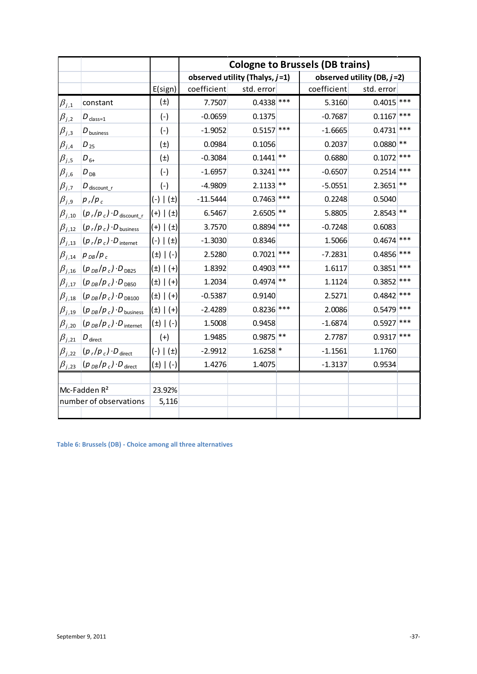|                |                                                    |                   | <b>Cologne to Brussels (DB trains)</b> |                                   |       |             |                               |       |  |  |  |
|----------------|----------------------------------------------------|-------------------|----------------------------------------|-----------------------------------|-------|-------------|-------------------------------|-------|--|--|--|
|                |                                                    |                   |                                        | observed utility (Thalys, $j=1$ ) |       |             | observed utility (DB, $j=2$ ) |       |  |  |  |
|                |                                                    | E(sign)           | coefficient                            | std. error                        |       | coefficient | std. error                    |       |  |  |  |
| $\beta_{j,1}$  | constant                                           | $(\pm)$           | 7.7507                                 | $0.4338$ ***                      |       | 5.3160      | $0.4015$ ***                  |       |  |  |  |
| $\beta_{j,2}$  | $D_{\text{class}=1}$                               | $(-)$             | $-0.0659$                              | 0.1375                            |       | $-0.7687$   | $0.1167$ ***                  |       |  |  |  |
| $\beta_{j,3}$  | $D_{\text{business}}$                              | $(-)$             | $-1.9052$                              | $0.5157$ ***                      |       | $-1.6665$   | 0.4731                        | ***   |  |  |  |
| $\beta_{j,4}$  | $D_{25}$                                           | $(\pm)$           | 0.0984                                 | 0.1056                            |       | 0.2037      | $0.0880$ **                   |       |  |  |  |
| $\beta_{j,5}$  | $D_{6+}$                                           | $(\pm)$           | $-0.3084$                              | $0.1441$ **                       |       | 0.6880      | $0.1072$ ***                  |       |  |  |  |
| $\beta_{j,6}$  | $D_{DB}$                                           | $(-)$             | $-1.6957$                              | $0.3241$ ***                      |       | $-0.6507$   | $0.2514$ ***                  |       |  |  |  |
| $\beta_{j,7}$  | $D_{\text{discount}}$                              | $(-)$             | $-4.9809$                              | 2.1133                            | $***$ | $-5.0551$   | $2.3651$ **                   |       |  |  |  |
| $\beta_{j,9}$  | $ p_{r}/p_{c} $                                    | $(-)$ $(\pm)$     | $-11.5444$                             | 0.7463                            | ***   | 0.2248      | 0.5040                        |       |  |  |  |
| $\beta_{j,10}$ | $(p_r/p_c) \cdot D_{\text{discount}_r}$            | $(+)$ $(\pm)$     | 6.5467                                 | $2.6505$ **                       |       | 5.8805      | $2.8543$ **                   |       |  |  |  |
| $\beta_{j,12}$ | $(p_r/p_c) \cdot D_{\text{business}}$              | $(+)$ $(\pm)$     | 3.7570                                 | $0.8894$ ***                      |       | $-0.7248$   | 0.6083                        |       |  |  |  |
| $\beta_{j,13}$ | $(p_r/p_c) \cdot D_{\text{internet}}$              | $(-)$ $(±)$       | $-1.3030$                              | 0.8346                            |       | 1.5066      | $0.4674$ ***                  |       |  |  |  |
| $\beta_{j,14}$ | $ p_{DB}/p_c$                                      | $(\pm)$   (-)     | 2.5280                                 | $0.7021$ ***                      |       | $-7.2831$   | $0.4856$ ***                  |       |  |  |  |
| $\beta_{j,16}$ | $(p_{DB}/p_c) \cdot D_{DB25}$                      | $(\pm)$ $ $ $(+)$ | 1.8392                                 | $0.4903$ ***                      |       | 1.6117      | 0.3851                        | ***   |  |  |  |
| $\beta_{j,17}$ | $(p_{DB}/p_c) \cdot D_{DB50}$                      | $(\pm)$ $ $ $(+)$ | 1.2034                                 | $0.4974$ **                       |       | 1.1124      | 0.3852                        | $***$ |  |  |  |
| $\beta_{j,18}$ | $(p_{DB}/p_c) \cdot D_{DB100}$                     | $(\pm)$ $ $ $(+)$ | $-0.5387$                              | 0.9140                            |       | 2.5271      | $0.4842$ ***                  |       |  |  |  |
| $\beta_{j,19}$ | $(p_{DB}/p_c) \cdot D_{\text{business}}$           | $(\pm)$ $ $ $(+)$ | $-2.4289$                              | $0.8236$ ***                      |       | 2.0086      | $0.5479$ ***                  |       |  |  |  |
| $\beta_{j,20}$ | $(p_{DB}/p_c) \cdot D_{\text{internet}}$           | $(\pm)$   (-)     | 1.5008                                 | 0.9458                            |       | $-1.6874$   | $0.5927$ ***                  |       |  |  |  |
| $\beta_{j,21}$ | $D_{\text{direct}}$                                | $(+)$             | 1.9485                                 | $0.9875$ **                       |       | 2.7787      | $0.9317$ ***                  |       |  |  |  |
|                | $\beta_{j,22}$ $(p_r/p_c) \cdot D_{\text{direct}}$ | $(-)$ $(\pm)$     | $-2.9912$                              | $1.6258$ *                        |       | $-1.1561$   | 1.1760                        |       |  |  |  |
|                | $\beta_{j,23}$ $(p_{DB}/p_c) \cdot D_{direct}$     | $(\pm)$   (-)     | 1.4276                                 | 1.4075                            |       | $-1.3137$   | 0.9534                        |       |  |  |  |
|                |                                                    |                   |                                        |                                   |       |             |                               |       |  |  |  |
|                | Mc-Fadden R <sup>2</sup>                           | 23.92%            |                                        |                                   |       |             |                               |       |  |  |  |
|                | number of observations                             | 5,116             |                                        |                                   |       |             |                               |       |  |  |  |
|                |                                                    |                   |                                        |                                   |       |             |                               |       |  |  |  |

**Table 6: Brussels (DB) - Choice among all three alternatives**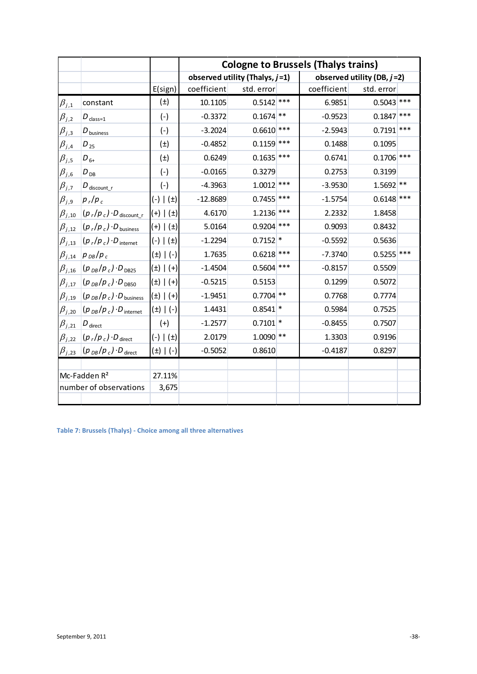|                |                                                    |               | <b>Cologne to Brussels (Thalys trains)</b> |                                   |       |             |                               |       |  |  |  |
|----------------|----------------------------------------------------|---------------|--------------------------------------------|-----------------------------------|-------|-------------|-------------------------------|-------|--|--|--|
|                |                                                    |               |                                            | observed utility (Thalys, $j=1$ ) |       |             | observed utility (DB, $j=2$ ) |       |  |  |  |
|                |                                                    | E(sign)       | coefficient                                | std. error                        |       | coefficient | std. error                    |       |  |  |  |
| $\beta_{j,1}$  | constant                                           | $(\pm)$       | 10.1105                                    | $0.5142$ ***                      |       | 6.9851      | $0.5043$ ***                  |       |  |  |  |
| $\beta_{j,2}$  | $D_{\text{class}=1}$                               | $(-)$         | $-0.3372$                                  | $0.1674$ **                       |       | $-0.9523$   | $0.1847$ ***                  |       |  |  |  |
| $\beta_{j,3}$  | $D_{\text{business}}$                              | $(-)$         | $-3.2024$                                  | $0.6610$ ***                      |       | $-2.5943$   | 0.7191                        | $***$ |  |  |  |
| $\beta_{j,4}$  | $D_{25}$                                           | $(\pm)$       | $-0.4852$                                  | $0.1159$ ***                      |       | 0.1488      | 0.1095                        |       |  |  |  |
| $\beta_{j,5}$  | $D_{6+}$                                           | $(\pm)$       | 0.6249                                     | $0.1635$ ***                      |       | 0.6741      | $0.1706$ ***                  |       |  |  |  |
| $\beta_{j,6}$  | $D_{DB}$                                           | $(-)$         | $-0.0165$                                  | 0.3279                            |       | 0.2753      | 0.3199                        |       |  |  |  |
| $\beta_{j,7}$  | $D_{\text{discount}_r}$                            | $(-)$         | $-4.3963$                                  | $1.0012$ ***                      |       | $-3.9530$   | $1.5692$ **                   |       |  |  |  |
| $\beta_{j,9}$  | $p_r/p_c$                                          | $(-)$ $(\pm)$ | $-12.8689$                                 | $0.7455$ ***                      |       | $-1.5754$   | $0.6148$ ***                  |       |  |  |  |
| $\beta_{j,10}$ | $(p_r/p_c) \cdot D_{\text{discount}_r}$            | $(+)$ $(\pm)$ | 4.6170                                     | $1.2136$ ***                      |       | 2.2332      | 1.8458                        |       |  |  |  |
| $\beta_{j,12}$ | $(p_r/p_c) \cdot D_{\text{business}}$              | $(+)$ $(\pm)$ | 5.0164                                     | $0.9204$ ***                      |       | 0.9093      | 0.8432                        |       |  |  |  |
| $\beta_{j,13}$ | $(p_r/p_c) \cdot D_{\text{internet}}$              | $(-)$ $(\pm)$ | $-1.2294$                                  | $0.7152$ *                        |       | $-0.5592$   | 0.5636                        |       |  |  |  |
| $\beta_{j,14}$ | $p_{DB}/p_c$                                       | $(\pm)$   (-) | 1.7635                                     | 0.6218                            | $***$ | $-7.3740$   | 0.5255                        | ***   |  |  |  |
| $\beta_{j,16}$ | $(p_{DB}/p_c) \cdot D_{DB25}$                      | (±)   (+)     | $-1.4504$                                  | 0.5604                            | $***$ | $-0.8157$   | 0.5509                        |       |  |  |  |
| $\beta_{j,17}$ | $(p_{DB}/p_c) \cdot D_{DB50}$                      | (±)   (+)     | $-0.5215$                                  | 0.5153                            |       | 0.1299      | 0.5072                        |       |  |  |  |
| $\beta_{j,19}$ | $(p_{DB}/p_c) \cdot D_{\text{business}}$           | (±)   (+)     | $-1.9451$                                  | $0.7704$ **                       |       | 0.7768      | 0.7774                        |       |  |  |  |
| $\beta_{j,20}$ | $(p_{DB}/p_c) \cdot D_{\text{internet}}$           | (±)   (-)     | 1.4431                                     | $0.8541$ *                        |       | 0.5984      | 0.7525                        |       |  |  |  |
| $\beta_{j,21}$ | $D_{\text{direct}}$                                | $(+)$         | $-1.2577$                                  | $0.7101$ *                        |       | $-0.8455$   | 0.7507                        |       |  |  |  |
|                | $\beta_{j,22}$ $(p_r/p_c) \cdot D_{\text{direct}}$ | $(-)$ $(\pm)$ | 2.0179                                     | $1.0090$ **                       |       | 1.3303      | 0.9196                        |       |  |  |  |
| $\beta_{j,23}$ | $(p_{DB}/p_c) \cdot D_{\text{direct}}$             | $(\pm)$   (-) | $-0.5052$                                  | 0.8610                            |       | $-0.4187$   | 0.8297                        |       |  |  |  |
|                |                                                    |               |                                            |                                   |       |             |                               |       |  |  |  |
|                | Mc-Fadden R <sup>2</sup>                           | 27.11%        |                                            |                                   |       |             |                               |       |  |  |  |
|                | number of observations                             | 3,675         |                                            |                                   |       |             |                               |       |  |  |  |
|                |                                                    |               |                                            |                                   |       |             |                               |       |  |  |  |

<span id="page-37-0"></span>**Table 7: Brussels (Thalys) - Choice among all three alternatives**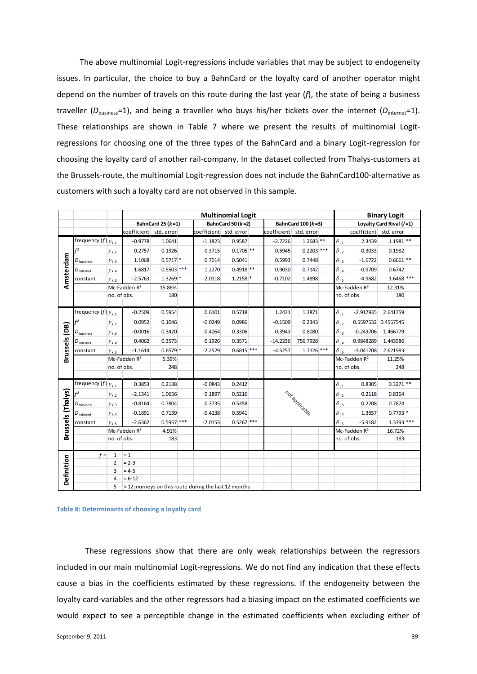The above multinomial Logit-regressions include variables that may be subject to endogeneity issues. In particular, the choice to buy a BahnCard or the loyalty card of another operator might depend on the number of travels on this route during the last year (*f*), the state of being a business traveller ( $D_{\text{business}}=1$ ), and being a traveller who buys his/her tickets over the internet ( $D_{\text{internet}}=1$ ). These relationships are shown in [Table 7](#page-37-0) where we present the results of multinomial Logitregressions for choosing one of the three types of the BahnCard and a binary Logit-regression for choosing the loyalty card of another rail-company. In the dataset collected from Thalys-customers at the Brussels-route, the multinomial Logit-regression does not include the BahnCard100-alternative as customers with such a loyalty card are not observed in this sample.

|                   |                                 |                |                          | <b>Multinomial Logit</b> |  |                                                       |                         |  |                        |                      |  |                                       |                          | <b>Binary Logit</b> |  |
|-------------------|---------------------------------|----------------|--------------------------|--------------------------|--|-------------------------------------------------------|-------------------------|--|------------------------|----------------------|--|---------------------------------------|--------------------------|---------------------|--|
|                   |                                 |                |                          | BahnCard 25 $(k=1)$      |  |                                                       | BahnCard 50 ( $k = 2$ ) |  |                        | BahnCard $100 (k=3)$ |  |                                       | Loyalty Card Rival (/=1) |                     |  |
|                   |                                 |                | coefficient std. error   |                          |  | coefficient std. error                                |                         |  | coefficient std. error |                      |  |                                       | coefficient std. error   |                     |  |
|                   | frequency $(f _{\gamma_{k,1}})$ |                | $-0.9778$                | 1.0641                   |  | $-1.1823$                                             | 0.9587                  |  | $-2.7226$              | $1.2683$ **          |  | $\delta_{\text{I,1}}$                 | 2.3439                   | $1.1981$ **         |  |
|                   | f <sup>2</sup>                  | $\gamma_{k,2}$ | 0.2757                   | 0.1926                   |  | 0.3715                                                | $0.1705$ **             |  | 0.5945                 | $0.2203$ ***         |  | $\delta_{1,2}$                        | $-0.3033$                | 0.1982              |  |
|                   | $D_{\text{business}}$           | $\gamma_{k,3}$ | 1.1068                   | $0.5717$ *               |  | 0.7014                                                | 0.5041                  |  | 0.5993                 | 0.7448               |  | $\delta_{\frac{13}{2}}$               | $-1.6722$                | $0.6661$ **         |  |
|                   | $D_{\,\rm internet}$            | $\gamma_{k,4}$ | 1.6817                   | $0.5503$ ***             |  | 1.2270                                                | $0.4918$ **             |  | 0.9030                 | 0.7142               |  | $\delta_{\text{I,4}}$                 | $-0.9709$                | 0.6742              |  |
| Amsterdam         | constant                        | $\gamma_{k,5}$ | $-2.5763$                | $1.3269$ *               |  | $-2.0118$                                             | $1.2158$ *              |  | $-0.7102$              | 1.4898               |  | $\delta_{1.5}$                        | $-4.9682$                | $1.6468$ ***        |  |
|                   |                                 |                | Mc-Fadden R <sup>2</sup> | 15.86%                   |  |                                                       |                         |  |                        |                      |  |                                       | Mc-Fadden R <sup>2</sup> | 12.31%              |  |
|                   |                                 | no. of obs.    |                          | 180                      |  |                                                       |                         |  |                        |                      |  | no. of obs.                           |                          | 180                 |  |
|                   |                                 |                |                          |                          |  |                                                       |                         |  |                        |                      |  |                                       |                          |                     |  |
|                   | frequency $(f _{\gamma_{k,1}})$ |                | $-0.2509$                | 0.5954                   |  | 0.6101                                                | 0.5718                  |  | 1.2431                 | 1.3871               |  | $\delta_{\text{I,1}}$                 | $-2.917935$              | 2.641759            |  |
|                   | f <sup>2</sup>                  | $\gamma_{k,2}$ | 0.0952                   | 0.1046                   |  | $-0.0249$                                             | 0.0986                  |  | $-0.1509$              | 0.2343               |  | $\delta_{\underline{1,2}}$            | 0.5597532                | 0.4557545           |  |
| Brussels (DB)     | $D_{\text{business}}$           | $\gamma_{k,3}$ | $-0.0016$                | 0.3420                   |  | 0.4064                                                | 0.3306                  |  | 0.3943                 | 0.8080               |  | $\delta_{1,3}$                        | $-0.243706$              | 1.466779            |  |
|                   | $D_{\text{internet}}$           | $\gamma_{k,4}$ | 0.4062                   | 0.3573                   |  | 0.1926                                                | 0.3571                  |  | $-14.2236$             | 756.7928             |  | $\delta_{\text{I,4}}$                 | 0.9848289                | 1.443586            |  |
|                   | constant                        | $\gamma_{k,5}$ | $-1.1614$                | $0.6579$ *               |  | $-2.2529$                                             | $0.6815$ ***            |  | $-4.5257$              | $1.7126$ ***         |  | $\delta_{\mathrm{I},5}$               | $-3.041708$              | 2.621983            |  |
|                   |                                 |                | Mc-Fadden R <sup>2</sup> | 5.39%                    |  |                                                       |                         |  |                        |                      |  |                                       | Mc-Fadden R <sup>2</sup> | 11.25%              |  |
|                   |                                 | no. of obs.    |                          | 248                      |  |                                                       |                         |  |                        |                      |  | no. of obs.                           |                          | 248                 |  |
|                   |                                 |                |                          |                          |  |                                                       |                         |  |                        |                      |  |                                       |                          |                     |  |
|                   | frequency $(f _{\gamma_{k,1}})$ |                | 0.3853                   | 0.2138                   |  | $-0.0843$                                             | 0.2412                  |  |                        |                      |  | $\delta_{\underline{1}\underline{1}}$ | 0.8305                   | $0.3271$ **         |  |
|                   | f <sup>2</sup>                  | $\gamma_{k,2}$ | $-2.1341$                | 1.0656                   |  | 0.1897                                                | 0.5216                  |  |                        |                      |  | $\delta_{1,2}$                        | 0.2118                   | 0.8364              |  |
|                   | $D_{\text{business}}$           | $\gamma_{k,3}$ | $-0.8164$                | 0.7804                   |  | 0.3735                                                | 0.5358                  |  |                        |                      |  | $\delta_{\underline{I}3}$             | 0.2208                   | 0.7874              |  |
| Brussels (Thalys) | $D_{\text{internet}}$           | $\gamma_{k,4}$ | $-0.1891$                | 0.7139                   |  | $-0.4138$                                             | 0.5941                  |  |                        | not applicable       |  | $\delta_{\,\mathsf{l},4}$             | 1.3657                   | $0.7793$ *          |  |
|                   | constant                        | $\gamma_{k,5}$ | $-2.6362$                | $0.5957$ ***             |  | $-2.0153$                                             | $0.5267$ ***            |  |                        |                      |  | $\delta_{\mathrm{I},5}$               | $-5.9182$                | 1.3393 ***          |  |
|                   |                                 |                | Mc-Fadden R <sup>2</sup> | 4.91%                    |  |                                                       |                         |  |                        |                      |  |                                       | Mc-Fadden R <sup>2</sup> | 16.72%              |  |
|                   |                                 | no. of obs.    |                          | 183                      |  |                                                       |                         |  |                        |                      |  | no. of obs.                           |                          | 183                 |  |
|                   | $f =$                           | $\mathbf{1}$   | $= 1$                    |                          |  |                                                       |                         |  |                        |                      |  |                                       |                          |                     |  |
|                   |                                 | $\overline{2}$ | $= 2 - 3$                |                          |  |                                                       |                         |  |                        |                      |  |                                       |                          |                     |  |
|                   |                                 | 3              | $= 4-5$                  |                          |  |                                                       |                         |  |                        |                      |  |                                       |                          |                     |  |
| Definition        |                                 | 4              | $= 6 - 12$               |                          |  |                                                       |                         |  |                        |                      |  |                                       |                          |                     |  |
|                   |                                 | 5              |                          |                          |  | > 12 journeys on this route during the last 12 months |                         |  |                        |                      |  |                                       |                          |                     |  |



These regressions show that there are only weak relationships between the regressors included in our main multinomial Logit-regressions. We do not find any indication that these effects cause a bias in the coefficients estimated by these regressions. If the endogeneity between the loyalty card-variables and the other regressors had a biasing impact on the estimated coefficients we would expect to see a perceptible change in the estimated coefficients when excluding either of